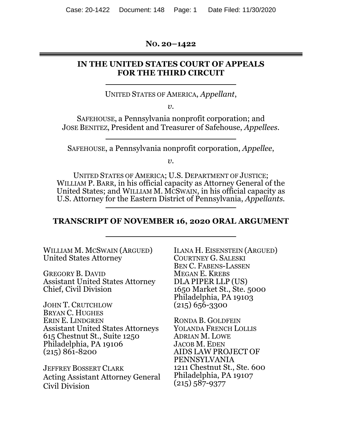**NO. 20–1422** 

# **IN THE UNITED STATES COURT OF APPEALS FOR THE THIRD CIRCUIT**

UNITED STATES OF AMERICA, *Appellant*,

*v.* 

SAFEHOUSE, a Pennsylvania nonprofit corporation; and JOSE BENITEZ, President and Treasurer of Safehouse, *Appellees.* 

SAFEHOUSE, a Pennsylvania nonprofit corporation, *Appellee*,

 $v<sub>i</sub>$ 

UNITED STATES OF AMERICA; U.S. DEPARTMENT OF JUSTICE; WILLIAM P. BARR, in his official capacity as Attorney General of the United States; and WILLIAM M. MCSWAIN, in his official capacity as U.S. Attorney for the Eastern District of Pennsylvania, *Appellants.*

# **TRANSCRIPT OF NOVEMBER 16, 2020 ORAL ARGUMENT**

| <b>ILANA H. EISENSTEIN (ARGUED)</b> |
|-------------------------------------|
| <b>COURTNEY G. SALESKI</b>          |
| <b>BEN C. FABENS-LASSEN</b>         |
| <b>MEGAN E. KREBS</b>               |
| DLA PIPER LLP (US)                  |
| 1650 Market St., Ste. 5000          |
| Philadelphia, PA 19103              |
| $(215)$ 656-3300                    |
|                                     |
| RONDA B. GOLDFEIN                   |
| <b>YOLANDA FRENCH LOLLIS</b>        |
| <b>ADRIAN M. LOWE</b>               |
| <b>JACOB M. EDEN</b>                |
| AIDS LAW PROJECT OF                 |
| PENNSYLVANIA                        |
| 1211 Chestnut St., Ste. 600         |
| Philadelphia, PA 19107              |
| $(215) 587 - 9377$                  |
|                                     |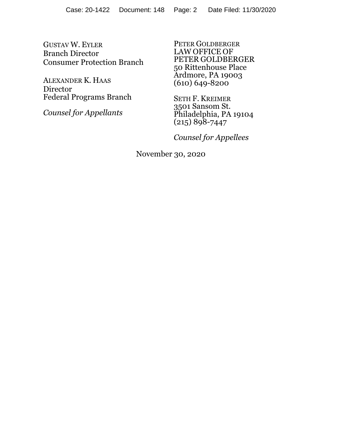GUSTAV W. EYLER Branch Director Consumer Protection Branch

ALEXANDER K. HAAS Director Federal Programs Branch

*Counsel for Appellants* 

PETER GOLDBERGER LAW OFFICE OF PETER GOLDBERGER 50 Rittenhouse Place Ardmore, PA 19003  $(610) 649 - 8200$ 

SETH F. KREIMER 3501 Sansom St. Philadelphia, PA 19104  $(215) 898 - 7447$ 

*Counsel for Appellees* 

November 30, 2020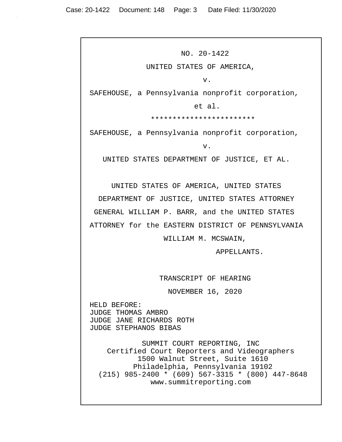NO. 20-1422 UNITED STATES OF AMERICA, v. SAFEHOUSE, a Pennsylvania nonprofit corporation, et al. \*\*\*\*\*\*\*\*\*\*\*\*\*\*\*\*\*\*\*\*\*\*\*\* SAFEHOUSE, a Pennsylvania nonprofit corporation, v. UNITED STATES DEPARTMENT OF JUSTICE, ET AL. UNITED STATES OF AMERICA, UNITED STATES DEPARTMENT OF JUSTICE, UNITED STATES ATTORNEY GENERAL WILLIAM P. BARR, and the UNITED STATES ATTORNEY for the EASTERN DISTRICT OF PENNSYLVANIA WILLIAM M. MCSWAIN, APPELLANTS. TRANSCRIPT OF HEARING NOVEMBER 16, 2020 HELD BEFORE: JUDGE THOMAS AMBRO JUDGE JANE RICHARDS ROTH JUDGE STEPHANOS BIBAS SUMMIT COURT REPORTING, INC Certified Court Reporters and Videographers 1500 Walnut Street, Suite 1610 Philadelphia, Pennsylvania 19102 (215) 985-2400 \* (609) 567-3315 \* (800) 447-8648 www.summitreporting.com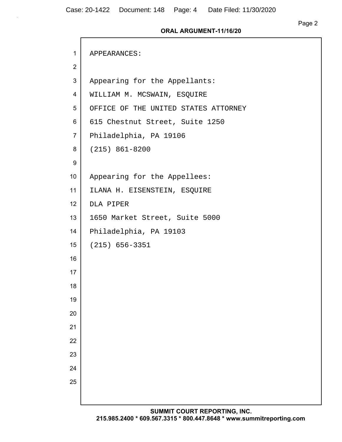$\mathsf{r}$ 

| $\mathbf{1}$   | APPEARANCES:                         |
|----------------|--------------------------------------|
| $\overline{2}$ |                                      |
| 3              | Appearing for the Appellants:        |
| 4              | WILLIAM M. MCSWAIN, ESQUIRE          |
| 5              | OFFICE OF THE UNITED STATES ATTORNEY |
| 6              | 615 Chestnut Street, Suite 1250      |
| $\overline{7}$ | Philadelphia, PA 19106               |
| 8              | $(215) 861 - 8200$                   |
| 9              |                                      |
| 10             | Appearing for the Appellees:         |
| 11             | ILANA H. EISENSTEIN, ESQUIRE         |
| 12             | DLA PIPER                            |
| 13             | 1650 Market Street, Suite 5000       |
| 14             | Philadelphia, PA 19103               |
| 15             | $(215) 656 - 3351$                   |
| 16             |                                      |
| 17             |                                      |
| 18             |                                      |
| 19             |                                      |
| 20             |                                      |
| 21             |                                      |
| 22             |                                      |
| 23             |                                      |
| 24             |                                      |
| 25             |                                      |
|                |                                      |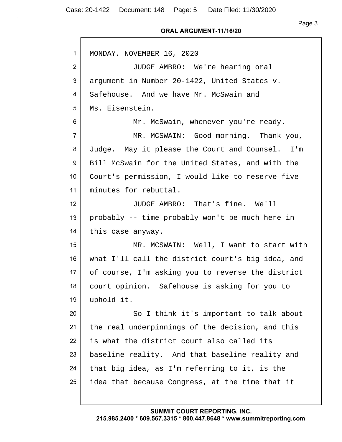Case: 20-1422 Document: 148 Page: 5 Date Filed: 11/30/2020

Г

#### **ORAL ARGUMENT-11/16/20**

| $\mathbf{1}$     | MONDAY, NOVEMBER 16, 2020                         |
|------------------|---------------------------------------------------|
| $\overline{2}$   | JUDGE AMBRO: We're hearing oral                   |
| 3                | argument in Number 20-1422, United States v.      |
| 4                | Safehouse. And we have Mr. McSwain and            |
| 5                | Ms. Eisenstein.                                   |
| 6                | Mr. McSwain, whenever you're ready.               |
| $\overline{7}$   | MR. MCSWAIN: Good morning. Thank you,             |
| 8                | Judge. May it please the Court and Counsel. I'm   |
| 9                | Bill McSwain for the United States, and with the  |
| 10 <sup>°</sup>  | Court's permission, I would like to reserve five  |
| 11               | minutes for rebuttal.                             |
| 12 <sup>2</sup>  | JUDGE AMBRO: That's fine. We'll                   |
| 13               | probably -- time probably won't be much here in   |
| 14               | this case anyway.                                 |
| 15 <sub>15</sub> | MR. MCSWAIN: Well, I want to start with           |
| 16               | what I'll call the district court's big idea, and |
| 17 <sub>2</sub>  | of course, I'm asking you to reverse the district |
| 18               | court opinion. Safehouse is asking for you to     |
| 19               | uphold it.                                        |
| 20               | So I think it's important to talk about           |
| 21               | the real underpinnings of the decision, and this  |
| 22               | is what the district court also called its        |
| 23               | baseline reality. And that baseline reality and   |
| 24               | that big idea, as I'm referring to it, is the     |
| 25               | idea that because Congress, at the time that it   |
|                  |                                                   |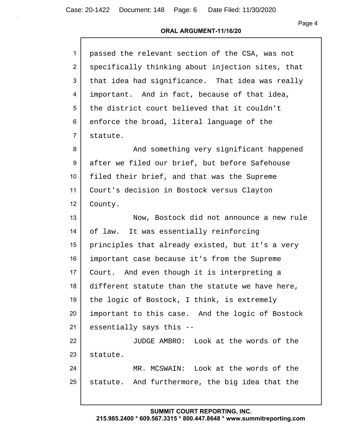## **ORAL ARGUMENT-11/16/20**

| passed the relevant section of the CSA, was not   |
|---------------------------------------------------|
| specifically thinking about injection sites, that |
| that idea had significance. That idea was really  |
| important. And in fact, because of that idea,     |
| the district court believed that it couldn't      |
| enforce the broad, literal language of the        |
| statute.                                          |
| And something very significant happened           |
| after we filed our brief, but before Safehouse    |
| filed their brief, and that was the Supreme       |
| Court's decision in Bostock versus Clayton        |
| County.                                           |
| Now, Bostock did not announce a new rule          |
| of law. It was essentially reinforcing            |
| principles that already existed, but it's a very  |
| important case because it's from the Supreme      |
| Court. And even though it is interpreting a       |
| different statute than the statute we have here,  |
| the logic of Bostock, I think, is extremely       |
| important to this case. And the logic of Bostock  |
| essentially says this --                          |
| JUDGE AMBRO: Look at the words of the             |
| statute.                                          |
| MR. MCSWAIN: Look at the words of the             |
| statute. And furthermore, the big idea that the   |
|                                                   |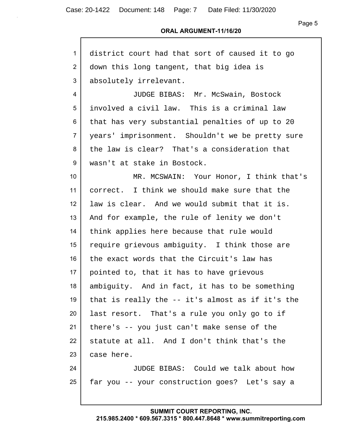## **ORAL ARGUMENT-11/16/20**

| 1                | district court had that sort of caused it to go  |
|------------------|--------------------------------------------------|
| $\overline{2}$   | down this long tangent, that big idea is         |
| 3                | absolutely irrelevant.                           |
| 4                | JUDGE BIBAS: Mr. McSwain, Bostock                |
| 5                | involved a civil law. This is a criminal law     |
| 6                | that has very substantial penalties of up to 20  |
| $\overline{7}$   | years' imprisonment. Shouldn't we be pretty sure |
| 8                | the law is clear? That's a consideration that    |
| 9                | wasn't at stake in Bostock.                      |
| 10 <sup>°</sup>  | MR. MCSWAIN: Your Honor, I think that's          |
| 11               | correct. I think we should make sure that the    |
| 12 <sup>°</sup>  | law is clear. And we would submit that it is.    |
| 13               | And for example, the rule of lenity we don't     |
| 14               | think applies here because that rule would       |
| 15 <sub>15</sub> | require grievous ambiguity. I think those are    |
| 16               | the exact words that the Circuit's law has       |
| 17               | pointed to, that it has to have grievous         |
| 18               | ambiguity. And in fact, it has to be something   |
| 19               | that is really the -- it's almost as if it's the |
| 20               | last resort. That's a rule you only go to if     |
| 21               | there's -- you just can't make sense of the      |
| 22               | statute at all. And I don't think that's the     |
| 23               | case here.                                       |
| 24               | JUDGE BIBAS: Could we talk about how             |
| 25               | far you -- your construction goes? Let's say a   |
|                  |                                                  |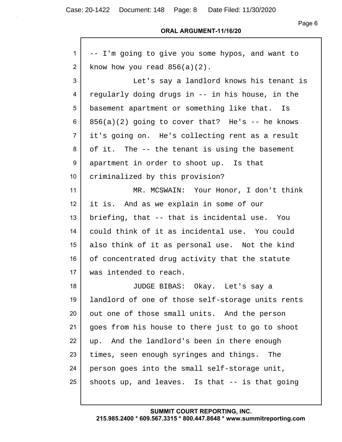Page 6

#### **ORAL ARGUMENT-11/16/20**

| 1               | -- I'm going to give you some hypos, and want to  |
|-----------------|---------------------------------------------------|
| $\overline{2}$  | know how you read $856(a)(2)$ .                   |
| 3               | Let's say a landlord knows his tenant is          |
| 4               | regularly doing drugs in -- in his house, in the  |
| 5               | basement apartment or something like that. Is     |
| 6               | $856(a)(2)$ going to cover that? He's -- he knows |
| $\overline{7}$  | it's going on. He's collecting rent as a result   |
| 8               | of it. The -- the tenant is using the basement    |
| 9               | apartment in order to shoot up. Is that           |
| 10 <sup>°</sup> | criminalized by this provision?                   |
| 11              | MR. MCSWAIN: Your Honor, I don't think            |
| 12              | it is. And as we explain in some of our           |
| 13              | briefing, that -- that is incidental use. You     |
| 14              | could think of it as incidental use. You could    |
| 15              | also think of it as personal use. Not the kind    |
| 16              | of concentrated drug activity that the statute    |
| 17              | was intended to reach.                            |
| 18              | JUDGE BIBAS: Okay. Let's say a                    |
| 19              | landlord of one of those self-storage units rents |
| 20              | out one of those small units. And the person      |
| 21              | goes from his house to there just to go to shoot  |
| 22              | up. And the landlord's been in there enough       |
| 23              | times, seen enough syringes and things. The       |
| 24              | person goes into the small self-storage unit,     |
| 25              | shoots up, and leaves. Is that -- is that going   |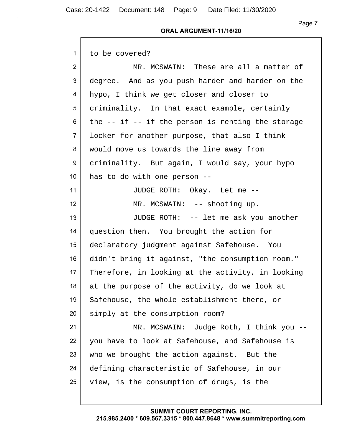| $\mathbf{1}$    | to be covered?                                        |
|-----------------|-------------------------------------------------------|
| $\overline{2}$  | MR. MCSWAIN: These are all a matter of                |
| 3               | degree. And as you push harder and harder on the      |
| 4               | hypo, I think we get closer and closer to             |
| 5               | criminality. In that exact example, certainly         |
| 6               | the $--$ if $--$ if the person is renting the storage |
| $\overline{7}$  | locker for another purpose, that also I think         |
| 8               | would move us towards the line away from              |
| 9               | criminality. But again, I would say, your hypo        |
| 10 <sup>°</sup> | has to do with one person --                          |
| 11              | JUDGE ROTH: Okay. Let me --                           |
| 12 <sup>°</sup> | MR. MCSWAIN: -- shooting up.                          |
| 13              | JUDGE ROTH: -- let me ask you another                 |
| 14              | question then. You brought the action for             |
| 15 <sub>2</sub> | declaratory judgment against Safehouse. You           |
| 16              | didn't bring it against, "the consumption room."      |
| 17 <sub>2</sub> | Therefore, in looking at the activity, in looking     |
| 18              | at the purpose of the activity, do we look at         |
| 19              | Safehouse, the whole establishment there, or          |
| 20              | simply at the consumption room?                       |
| 21              | MR. MCSWAIN: Judge Roth, I think you --               |
| 22              | you have to look at Safehouse, and Safehouse is       |
| 23              | who we brought the action against. But the            |
| 24              | defining characteristic of Safehouse, in our          |
| 25              | view, is the consumption of drugs, is the             |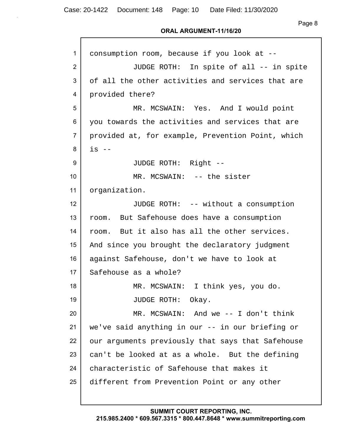## **ORAL ARGUMENT-11/16/20**

| 1               | consumption room, because if you look at --       |
|-----------------|---------------------------------------------------|
| 2               | JUDGE ROTH: In spite of all -- in spite           |
| 3               | of all the other activities and services that are |
| 4               | provided there?                                   |
| 5               | MR. MCSWAIN: Yes. And I would point               |
| 6               | you towards the activities and services that are  |
| $\overline{7}$  | provided at, for example, Prevention Point, which |
| 8               | $is$ $-$                                          |
| 9               | JUDGE ROTH: Right --                              |
| 10 <sup>°</sup> | MR. MCSWAIN: -- the sister                        |
| 11              | organization.                                     |
| 12 <sup>2</sup> | JUDGE ROTH: -- without a consumption              |
| 13              | room. But Safehouse does have a consumption       |
| 14              | room. But it also has all the other services.     |
| 15              | And since you brought the declaratory judgment    |
| 16              | against Safehouse, don't we have to look at       |
| 17              | Safehouse as a whole?                             |
| 18              | MR. MCSWAIN: I think yes, you do.                 |
| 19              | JUDGE ROTH: Okay.                                 |
| 20              | MR. MCSWAIN: And we $-$ I don't think             |
| 21              | we've said anything in our -- in our briefing or  |
| 22              | our arguments previously that says that Safehouse |
| 23              | can't be looked at as a whole. But the defining   |
| 24              | characteristic of Safehouse that makes it         |
| 25              | different from Prevention Point or any other      |
|                 |                                                   |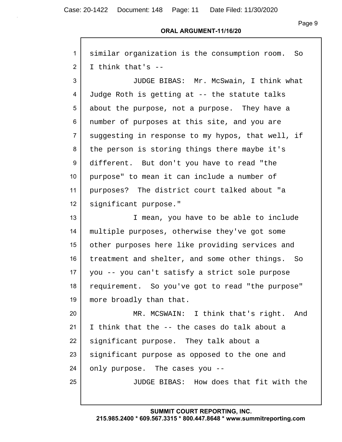## **ORAL ARGUMENT-11/16/20**

| $\mathbf{1}$     | similar organization is the consumption room.<br>So |
|------------------|-----------------------------------------------------|
| $\overline{2}$   | I think that's --                                   |
| 3                | JUDGE BIBAS: Mr. McSwain, I think what              |
| 4                | Judge Roth is getting at -- the statute talks       |
| 5                | about the purpose, not a purpose. They have a       |
| 6                | number of purposes at this site, and you are        |
| $\overline{7}$   | suggesting in response to my hypos, that well, if   |
| 8                | the person is storing things there maybe it's       |
| 9                | different. But don't you have to read "the          |
| 10               | purpose" to mean it can include a number of         |
| 11               | purposes? The district court talked about "a        |
| 12 <sub>2</sub>  | significant purpose."                               |
| 13               | I mean, you have to be able to include              |
| 14               | multiple purposes, otherwise they've got some       |
| 15 <sub>15</sub> | other purposes here like providing services and     |
| 16               | treatment and shelter, and some other things. So    |
| 17               | you -- you can't satisfy a strict sole purpose      |
| 18               | requirement. So you've got to read "the purpose"    |
| 19               | more broadly than that.                             |
| 20               | MR. MCSWAIN: I think that's right.<br>And           |
| 21               | I think that the -- the cases do talk about a       |
| 22               | significant purpose. They talk about a              |
| 23               | significant purpose as opposed to the one and       |
| 24               | only purpose. The cases you --                      |
| 25               | JUDGE BIBAS: How does that fit with the             |
|                  |                                                     |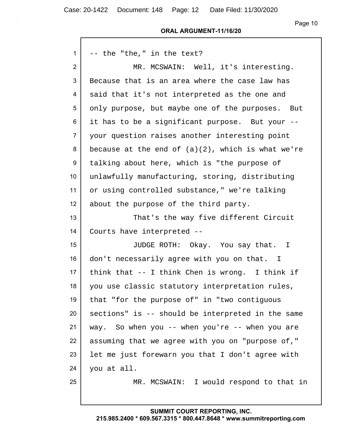Case: 20-1422 Document: 148 Page: 12 Date Filed: 11/30/2020

 $\mathsf{r}$ 

Page 10

#### **ORAL ARGUMENT-11/16/20**

| $\mathbf{1}$    | -- the "the," in the text?                           |
|-----------------|------------------------------------------------------|
| $\overline{2}$  | MR. MCSWAIN: Well, it's interesting.                 |
| 3               | Because that is an area where the case law has       |
| 4               | said that it's not interpreted as the one and        |
| 5               | only purpose, but maybe one of the purposes. But     |
| 6               | it has to be a significant purpose. But your --      |
| $\overline{7}$  | your question raises another interesting point       |
| 8               | because at the end of $(a)(2)$ , which is what we're |
| 9               | talking about here, which is "the purpose of         |
| 10 <sup>°</sup> | unlawfully manufacturing, storing, distributing      |
| 11              | or using controlled substance," we're talking        |
| 12              | about the purpose of the third party.                |
| 13              | That's the way five different Circuit                |
| 14              | Courts have interpreted --                           |
| 15              | JUDGE ROTH: Okay. You say that. I                    |
| 16              | don't necessarily agree with you on that. I          |
| 17              | think that -- I think Chen is wrong. I think if      |
| 18              | you use classic statutory interpretation rules,      |
| 19              | that "for the purpose of" in "two contiguous         |
| 20              | sections" is -- should be interpreted in the same    |
| 21              | way. So when you -- when you're -- when you are      |
| 22              | assuming that we agree with you on "purpose of,"     |
| 23              | let me just forewarn you that I don't agree with     |
| 24              | you at all.                                          |
| 25              | MR. MCSWAIN: I would respond to that in              |
|                 |                                                      |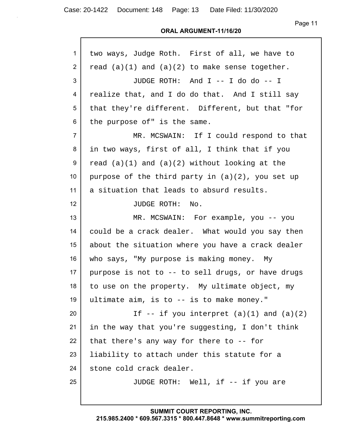Page 11

| $\mathbf{1}$    | two ways, Judge Roth. First of all, we have to      |
|-----------------|-----------------------------------------------------|
| $\overline{2}$  | read $(a)(1)$ and $(a)(2)$ to make sense together.  |
| 3               | JUDGE ROTH: And I -- I do do -- I                   |
| 4               | realize that, and I do do that. And I still say     |
| 5               | that they're different. Different, but that "for    |
| 6               | the purpose of" is the same.                        |
| $\overline{7}$  | MR. MCSWAIN: If I could respond to that             |
| 8               | in two ways, first of all, I think that if you      |
| 9               | read $(a)(1)$ and $(a)(2)$ without looking at the   |
| 10 <sup>°</sup> | purpose of the third party in $(a)(2)$ , you set up |
| 11              | a situation that leads to absurd results.           |
| 12 <sup>2</sup> | JUDGE ROTH: No.                                     |
| 13              | MR. MCSWAIN: For example, you -- you                |
| 14              | could be a crack dealer. What would you say then    |
| 15              | about the situation where you have a crack dealer   |
| 16              | who says, "My purpose is making money. My           |
| 17 <sub>2</sub> | purpose is not to -- to sell drugs, or have drugs   |
| 18              | to use on the property. My ultimate object, my      |
| 19              | ultimate aim, is to -- is to make money."           |
| 20              | If $-$ if you interpret $(a)(1)$ and $(a)(2)$       |
| 21              | in the way that you're suggesting, I don't think    |
| 22              | that there's any way for there to $-$ - for         |
| 23              | liability to attach under this statute for a        |
| 24              | stone cold crack dealer.                            |
| 25              | JUDGE ROTH: Well, if -- if you are                  |
|                 |                                                     |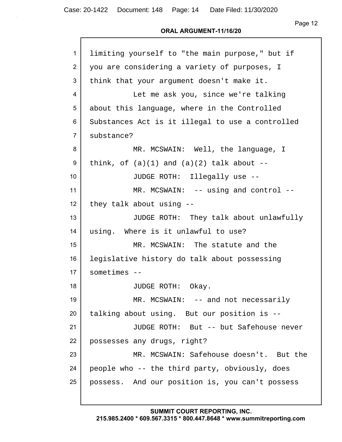#### **ORAL ARGUMENT-11/16/20**

| $\mathbf{1}$   | limiting yourself to "the main purpose," but if  |
|----------------|--------------------------------------------------|
| 2              | you are considering a variety of purposes, I     |
| 3              | think that your argument doesn't make it.        |
| 4              | Let me ask you, since we're talking              |
| 5              | about this language, where in the Controlled     |
| 6              | Substances Act is it illegal to use a controlled |
| $\overline{7}$ | substance?                                       |
| 8              | MR. MCSWAIN: Well, the language, I               |
| 9              | think, of $(a)(1)$ and $(a)(2)$ talk about --    |
| 10             | JUDGE ROTH: Illegally use --                     |
| 11             | MR. MCSWAIN: -- using and control --             |
| 12             | they talk about using --                         |
| 13             | JUDGE ROTH: They talk about unlawfully           |
| 14             | using. Where is it unlawful to use?              |
| 15             | MR. MCSWAIN: The statute and the                 |
| 16             | legislative history do talk about possessing     |
| 17             | $sometimes --$                                   |
| 18             | JUDGE ROTH: Okay.                                |
| 19             | MR. MCSWAIN: -- and not necessarily              |
| 20             | talking about using. But our position is --      |
| 21             | JUDGE ROTH: But -- but Safehouse never           |
| 22             | possesses any drugs, right?                      |
| 23             | MR. MCSWAIN: Safehouse doesn't. But the          |
| 24             | people who -- the third party, obviously, does   |
| 25             | possess. And our position is, you can't possess  |
|                |                                                  |

**SUMMIT COURT REPORTING, INC.**

# **215.985.2400 \* 609.567.3315 \* 800.447.8648 \* www.summitreporting.com**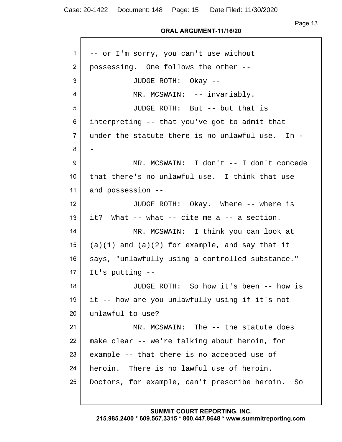#### **ORAL ARGUMENT-11/16/20**

| 1               | -- or I'm sorry, you can't use without              |
|-----------------|-----------------------------------------------------|
| 2               | possessing. One follows the other --                |
| 3               | JUDGE ROTH: Okay --                                 |
| 4               | MR. MCSWAIN: -- invariably.                         |
| 5               | JUDGE ROTH: But -- but that is                      |
| 6               | interpreting -- that you've got to admit that       |
| $\overline{7}$  | under the statute there is no unlawful use. In -    |
| 8               |                                                     |
| 9               | MR. MCSWAIN: I don't -- I don't concede             |
| 10 <sup>°</sup> | that there's no unlawful use. I think that use      |
| 11              | and possession --                                   |
| 12              | JUDGE ROTH: Okay. Where -- where is                 |
| 13              | it? What -- what -- cite me a -- a section.         |
| 14              | MR. MCSWAIN: I think you can look at                |
| 15              | $(a)(1)$ and $(a)(2)$ for example, and say that it  |
| 16              | says, "unlawfully using a controlled substance."    |
| 17              | It's putting --                                     |
| 18              | JUDGE ROTH: So how it's been -- how is              |
| 19              | it -- how are you unlawfully using if it's not      |
| 20              | unlawful to use?                                    |
| 21              | MR. MCSWAIN: The -- the statute does                |
| 22              | make clear -- we're talking about heroin, for       |
| 23              | example -- that there is no accepted use of         |
| 24              | heroin. There is no lawful use of heroin.           |
| 25              | Doctors, for example, can't prescribe heroin.<br>So |
|                 |                                                     |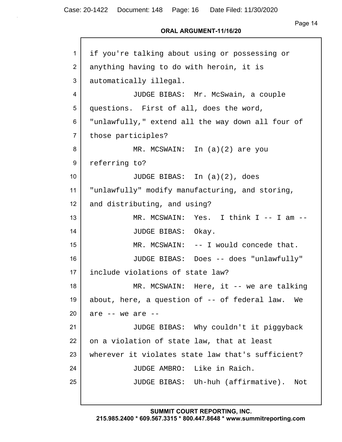Page 14

## **ORAL ARGUMENT-11/16/20**

| 1              | if you're talking about using or possessing or    |
|----------------|---------------------------------------------------|
| $\overline{2}$ | anything having to do with heroin, it is          |
| 3              | automatically illegal.                            |
| 4              | JUDGE BIBAS: Mr. McSwain, a couple                |
| 5              | questions. First of all, does the word,           |
| 6              | "unlawfully," extend all the way down all four of |
| $\overline{7}$ | those participles?                                |
| 8              | MR. MCSWAIN: In (a)(2) are you                    |
| 9              | referring to?                                     |
| 10             | JUDGE BIBAS: In $(a)(2)$ , does                   |
| 11             | "unlawfully" modify manufacturing, and storing,   |
| 12             | and distributing, and using?                      |
| 13             | MR. MCSWAIN: Yes. I think I -- I am --            |
| 14             | JUDGE BIBAS: Okay.                                |
| 15             | MR. MCSWAIN: -- I would concede that.             |
| 16             | JUDGE BIBAS: Does -- does "unlawfully"            |
| 17             | include violations of state law?                  |
| 18             | MR. MCSWAIN: Here, it -- we are talking           |
| 19             | about, here, a question of -- of federal law. We  |
| 20             | are $--$ we are $--$                              |
| 21             | JUDGE BIBAS: Why couldn't it piggyback            |
| 22             | on a violation of state law, that at least        |
| 23             | wherever it violates state law that's sufficient? |
| 24             | JUDGE AMBRO: Like in Raich.                       |
| 25             | JUDGE BIBAS: Uh-huh (affirmative).<br>Not         |
|                |                                                   |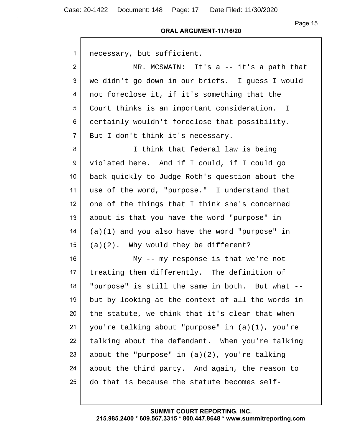Case: 20-1422 Document: 148 Page: 17 Date Filed: 11/30/2020

Page 15

#### **ORAL ARGUMENT-11/16/20**

| 1               | necessary, but sufficient.                        |
|-----------------|---------------------------------------------------|
| $\overline{2}$  | MR. MCSWAIN: It's $a$ -- it's a path that         |
| 3               | we didn't go down in our briefs. I guess I would  |
| 4               | not foreclose it, if it's something that the      |
| 5               | Court thinks is an important consideration. I     |
| 6               | certainly wouldn't foreclose that possibility.    |
| $\overline{7}$  | But I don't think it's necessary.                 |
| 8               | I think that federal law is being                 |
| 9               | violated here. And if I could, if I could go      |
| 10 <sup>°</sup> | back quickly to Judge Roth's question about the   |
| 11              | use of the word, "purpose." I understand that     |
| 12              | one of the things that I think she's concerned    |
| 13              | about is that you have the word "purpose" in      |
| 14              | $(a)(1)$ and you also have the word "purpose" in  |
| 15              | $(a)(2)$ . Why would they be different?           |
| 16              | My $-$ - my response is that we're not            |
| 17              | treating them differently. The definition of      |
| 18              | "purpose" is still the same in both. But what --  |
| 19              | but by looking at the context of all the words in |
| 20              | the statute, we think that it's clear that when   |
| 21              | you're talking about "purpose" in (a)(1), you're  |
| 22              | talking about the defendant. When you're talking  |
| 23              | about the "purpose" in $(a)(2)$ , you're talking  |
| 24              | about the third party. And again, the reason to   |
| 25              | do that is because the statute becomes self-      |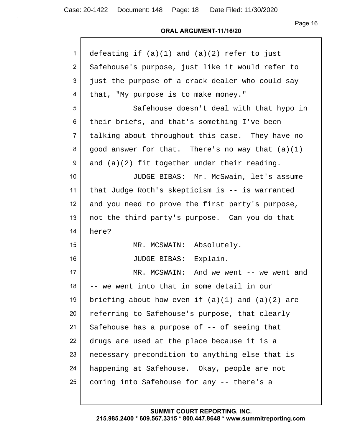Page 16

## **ORAL ARGUMENT-11/16/20**

| $\mathbf{1}$   | defeating if $(a)(1)$ and $(a)(2)$ refer to just     |
|----------------|------------------------------------------------------|
| 2              | Safehouse's purpose, just like it would refer to     |
| 3              | just the purpose of a crack dealer who could say     |
| 4              | that, "My purpose is to make money."                 |
| 5              | Safehouse doesn't deal with that hypo in             |
| 6              | their briefs, and that's something I've been         |
| $\overline{7}$ | talking about throughout this case. They have no     |
| 8              | good answer for that. There's no way that (a)(1)     |
| 9              | and $(a)(2)$ fit together under their reading.       |
| 10             | JUDGE BIBAS: Mr. McSwain, let's assume               |
| 11             | that Judge Roth's skepticism is -- is warranted      |
| 12             | and you need to prove the first party's purpose,     |
| 13             | not the third party's purpose. Can you do that       |
| 14             | here?                                                |
| 15             | MR. MCSWAIN: Absolutely.                             |
| 16             | JUDGE BIBAS: Explain.                                |
| 17             | MR. MCSWAIN: And we went -- we went and              |
| 18             | we went into that in some detail in our              |
| 19             | briefing about how even if $(a)(1)$ and $(a)(2)$ are |
| 20             | referring to Safehouse's purpose, that clearly       |
| 21             | Safehouse has a purpose of -- of seeing that         |
| 22             | drugs are used at the place because it is a          |
| 23             | necessary precondition to anything else that is      |
| 24             | happening at Safehouse. Okay, people are not         |
| 25             | coming into Safehouse for any -- there's a           |
|                |                                                      |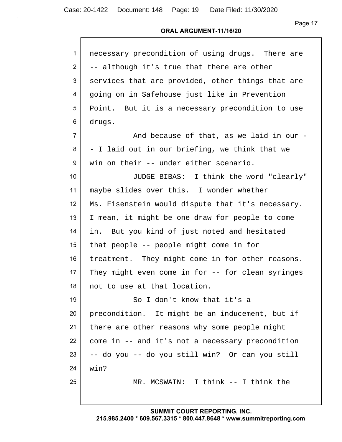## **ORAL ARGUMENT-11/16/20**

| $\mathbf{1}$   | necessary precondition of using drugs. There are  |
|----------------|---------------------------------------------------|
| 2              | -- although it's true that there are other        |
| 3              | services that are provided, other things that are |
| 4              | going on in Safehouse just like in Prevention     |
| 5              | Point. But it is a necessary precondition to use  |
| 6              | drugs.                                            |
| $\overline{7}$ | And because of that, as we laid in our -          |
| 8              | - I laid out in our briefing, we think that we    |
| 9              | win on their -- under either scenario.            |
| 10             | JUDGE BIBAS: I think the word "clearly"           |
| 11             | maybe slides over this. I wonder whether          |
| 12             | Ms. Eisenstein would dispute that it's necessary. |
| 13             | I mean, it might be one draw for people to come   |
| 14             | in. But you kind of just noted and hesitated      |
| 15             | that people -- people might come in for           |
| 16             | treatment. They might come in for other reasons.  |
| 17             | They might even come in for -- for clean syringes |
| 18             | not to use at that location.                      |
| 19             | So I don't know that it's a                       |
| 20             | precondition. It might be an inducement, but if   |
| 21             | there are other reasons why some people might     |
| 22             | come in -- and it's not a necessary precondition  |
| 23             | -- do you -- do you still win? Or can you still   |
| 24             | win?                                              |
| 25             | MR. MCSWAIN: I think -- I think the               |
|                |                                                   |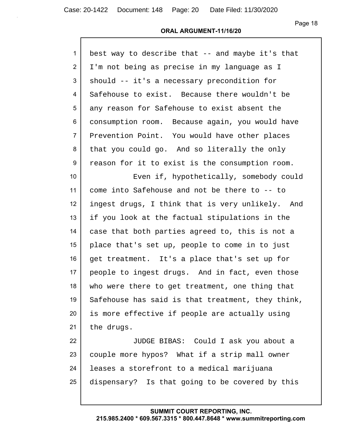| $\mathbf{1}$    | best way to describe that -- and maybe it's that  |
|-----------------|---------------------------------------------------|
| $\overline{2}$  | I'm not being as precise in my language as I      |
| 3               | should -- it's a necessary precondition for       |
| 4               | Safehouse to exist. Because there wouldn't be     |
| 5               | any reason for Safehouse to exist absent the      |
| 6               | consumption room. Because again, you would have   |
| $\overline{7}$  | Prevention Point. You would have other places     |
| 8               | that you could go. And so literally the only      |
| 9               | reason for it to exist is the consumption room.   |
| 10 <sup>°</sup> | Even if, hypothetically, somebody could           |
| 11              | come into Safehouse and not be there to -- to     |
| 12              | ingest drugs, I think that is very unlikely. And  |
| 13              | if you look at the factual stipulations in the    |
| 14              | case that both parties agreed to, this is not a   |
| 15              | place that's set up, people to come in to just    |
| 16              | get treatment. It's a place that's set up for     |
| 17              | people to ingest drugs. And in fact, even those   |
| 18              | who were there to get treatment, one thing that   |
| 19              | Safehouse has said is that treatment, they think, |
| 20              | is more effective if people are actually using    |
| 21              | the drugs.                                        |
| 22              | JUDGE BIBAS: Could I ask you about a              |
| 23              | couple more hypos? What if a strip mall owner     |
| 24              | leases a storefront to a medical marijuana        |
| 25              | dispensary? Is that going to be covered by this   |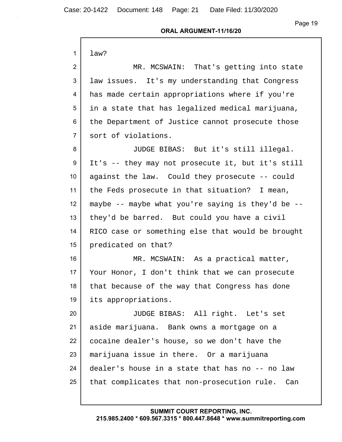Case: 20-1422 Document: 148 Page: 21 Date Filed: 11/30/2020

Page 19

## **ORAL ARGUMENT-11/16/20**

| $\mathbf{1}$   | law?                                               |
|----------------|----------------------------------------------------|
| $\overline{2}$ | MR. MCSWAIN: That's getting into state             |
| 3              | law issues. It's my understanding that Congress    |
| 4              | has made certain appropriations where if you're    |
| 5              | in a state that has legalized medical marijuana,   |
| 6              | the Department of Justice cannot prosecute those   |
| $\overline{7}$ | sort of violations.                                |
| 8              | JUDGE BIBAS: But it's still illegal.               |
| 9              | It's -- they may not prosecute it, but it's still  |
| 10             | against the law. Could they prosecute -- could     |
| 11             | the Feds prosecute in that situation? I mean,      |
| 12             | maybe -- maybe what you're saying is they'd be $-$ |
| 13             | they'd be barred. But could you have a civil       |
| 14             | RICO case or something else that would be brought  |
| 15             | predicated on that?                                |
| 16             | MR. MCSWAIN: As a practical matter,                |
| 17             | Your Honor, I don't think that we can prosecute    |
| 18             | that because of the way that Congress has done     |
| 19             | its appropriations.                                |
| 20             | JUDGE BIBAS: All right. Let's set                  |
| 21             | aside marijuana. Bank owns a mortgage on a         |
| 22             | cocaine dealer's house, so we don't have the       |
| 23             | marijuana issue in there. Or a marijuana           |
| 24             | dealer's house in a state that has no -- no law    |
| 25             | that complicates that non-prosecution rule. Can    |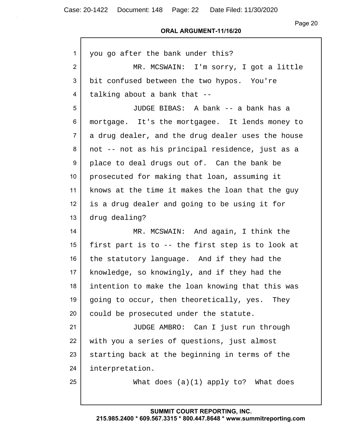Page 20

| $\mathbf{1}$    | you go after the bank under this?                 |
|-----------------|---------------------------------------------------|
| $\overline{2}$  | MR. MCSWAIN: I'm sorry, I got a little            |
| 3               | bit confused between the two hypos. You're        |
| 4               | talking about a bank that --                      |
| 5               | JUDGE BIBAS: A bank -- a bank has a               |
| 6               | mortgage. It's the mortgagee. It lends money to   |
| $\overline{7}$  | a drug dealer, and the drug dealer uses the house |
| 8               | not -- not as his principal residence, just as a  |
| 9               | place to deal drugs out of. Can the bank be       |
| 10 <sup>°</sup> | prosecuted for making that loan, assuming it      |
| 11              | knows at the time it makes the loan that the guy  |
| 12 <sup>2</sup> | is a drug dealer and going to be using it for     |
| 13              | drug dealing?                                     |
| 14              | MR. MCSWAIN: And again, I think the               |
| 15 <sub>1</sub> | first part is to -- the first step is to look at  |
| 16              | the statutory language. And if they had the       |
| 17              | knowledge, so knowingly, and if they had the      |
| 18              | intention to make the loan knowing that this was  |
| 19              | going to occur, then theoretically, yes. They     |
| 20              | could be prosecuted under the statute.            |
| 21              | JUDGE AMBRO: Can I just run through               |
| 22              | with you a series of questions, just almost       |
| 23              | starting back at the beginning in terms of the    |
| 24              | interpretation.                                   |
| 25              | What does $(a)(1)$ apply to? What does            |
|                 |                                                   |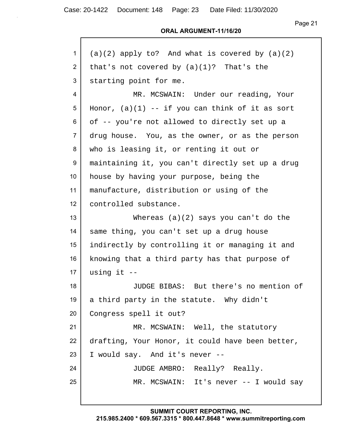#### **ORAL ARGUMENT-11/16/20**

| 1              | $(a)(2)$ apply to? And what is covered by $(a)(2)$ |
|----------------|----------------------------------------------------|
| $\overline{2}$ | that's not covered by $(a)(1)$ ? That's the        |
| 3              | starting point for me.                             |
| 4              | MR. MCSWAIN: Under our reading, Your               |
| 5              | Honor, $(a)(1)$ -- if you can think of it as sort  |
| 6              | of -- you're not allowed to directly set up a      |
| $\overline{7}$ | drug house. You, as the owner, or as the person    |
| 8              | who is leasing it, or renting it out or            |
| 9              | maintaining it, you can't directly set up a drug   |
| 10             | house by having your purpose, being the            |
| 11             | manufacture, distribution or using of the          |
| 12             | controlled substance.                              |
| 13             | Whereas $(a)(2)$ says you can't do the             |
| 14             | same thing, you can't set up a drug house          |
| 15             | indirectly by controlling it or managing it and    |
| 16             | knowing that a third party has that purpose of     |
| 17             | using it $-$                                       |
| 18             | JUDGE BIBAS: But there's no mention of             |
| 19             | a third party in the statute. Why didn't           |
| 20             | Congress spell it out?                             |
| 21             | MR. MCSWAIN: Well, the statutory                   |
| 22             | drafting, Your Honor, it could have been better,   |
| 23             | I would say. And it's never --                     |
| 24             | JUDGE AMBRO: Really? Really.                       |
| 25             | MR. MCSWAIN: It's never -- I would say             |
|                |                                                    |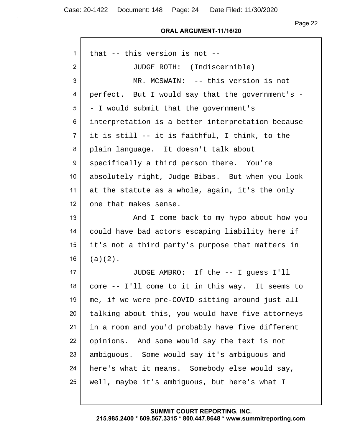Case: 20-1422 Document: 148 Page: 24 Date Filed: 11/30/2020

Г

Page 22

#### **ORAL ARGUMENT-11/16/20**

| 1              | that -- this version is not --                    |
|----------------|---------------------------------------------------|
| $\overline{2}$ | JUDGE ROTH: (Indiscernible)                       |
| 3              | MR. MCSWAIN: -- this version is not               |
| 4              | perfect. But I would say that the government's -  |
| 5              | - I would submit that the government's            |
| 6              | interpretation is a better interpretation because |
| $\overline{7}$ | it is still -- it is faithful, I think, to the    |
| 8              | plain language. It doesn't talk about             |
| 9              | specifically a third person there. You're         |
| 10             | absolutely right, Judge Bibas. But when you look  |
| 11             | at the statute as a whole, again, it's the only   |
| 12             | one that makes sense.                             |
| 13             | And I come back to my hypo about how you          |
| 14             | could have bad actors escaping liability here if  |
| 15             | it's not a third party's purpose that matters in  |
| 16             | $(a)(2)$ .                                        |
| 17             | JUDGE AMBRO: If the -- I guess I'll               |
| 18             | come -- I'll come to it in this way. It seems to  |
| 19             | me, if we were pre-COVID sitting around just all  |
| 20             | talking about this, you would have five attorneys |
| 21             | in a room and you'd probably have five different  |
| 22             | opinions. And some would say the text is not      |
| 23             | ambiguous. Some would say it's ambiguous and      |
| 24             | here's what it means. Somebody else would say,    |
| 25             | well, maybe it's ambiguous, but here's what I     |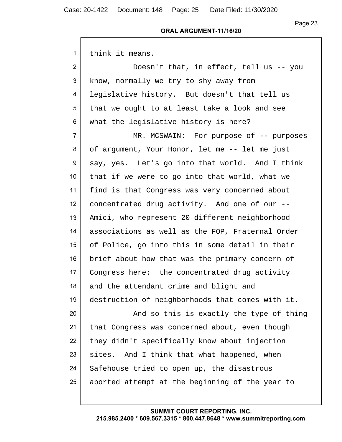## Page 23

#### **ORAL ARGUMENT-11/16/20**

| $\mathbf{1}$    | think it means.                                  |
|-----------------|--------------------------------------------------|
| 2               | Doesn't that, in effect, tell us -- you          |
| 3               | know, normally we try to shy away from           |
| 4               | legislative history. But doesn't that tell us    |
| 5               | that we ought to at least take a look and see    |
| 6               | what the legislative history is here?            |
| $\overline{7}$  | MR. MCSWAIN: For purpose of -- purposes          |
| 8               | of argument, Your Honor, let me -- let me just   |
| 9               | say, yes. Let's go into that world. And I think  |
| 10 <sup>°</sup> | that if we were to go into that world, what we   |
| 11              | find is that Congress was very concerned about   |
| 12              | concentrated drug activity. And one of our --    |
| 13              | Amici, who represent 20 different neighborhood   |
| 14              | associations as well as the FOP, Fraternal Order |
| 15              | of Police, go into this in some detail in their  |
| 16              | brief about how that was the primary concern of  |
| 17              | Congress here: the concentrated drug activity    |
| 18              | and the attendant crime and blight and           |
| 19              | destruction of neighborhoods that comes with it. |
| 20              | And so this is exactly the type of thing         |
| 21              | that Congress was concerned about, even though   |
| 22              | they didn't specifically know about injection    |
| 23              | sites. And I think that what happened, when      |
| 24              | Safehouse tried to open up, the disastrous       |
| 25              | aborted attempt at the beginning of the year to  |
|                 |                                                  |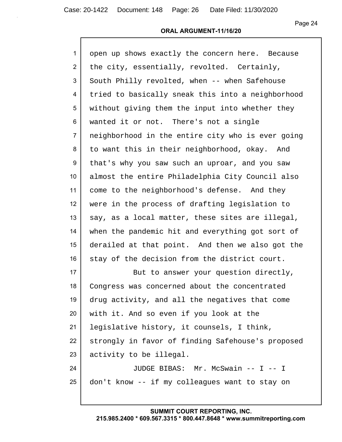## **ORAL ARGUMENT-11/16/20**

| $\mathbf{1}$   | open up shows exactly the concern here. Because   |
|----------------|---------------------------------------------------|
| 2              | the city, essentially, revolted. Certainly,       |
| 3              | South Philly revolted, when -- when Safehouse     |
| 4              | tried to basically sneak this into a neighborhood |
| 5              | without giving them the input into whether they   |
| 6              | wanted it or not. There's not a single            |
| $\overline{7}$ | neighborhood in the entire city who is ever going |
| 8              | to want this in their neighborhood, okay. And     |
| 9              | that's why you saw such an uproar, and you saw    |
| 10             | almost the entire Philadelphia City Council also  |
| 11             | come to the neighborhood's defense. And they      |
| 12             | were in the process of drafting legislation to    |
| 13             | say, as a local matter, these sites are illegal,  |
| 14             | when the pandemic hit and everything got sort of  |
| 15             | derailed at that point. And then we also got the  |
| 16             | stay of the decision from the district court.     |
| 17             | But to answer your question directly,             |
| 18             | Congress was concerned about the concentrated     |
| 19             | drug activity, and all the negatives that come    |
| 20             | with it. And so even if you look at the           |
| 21             | legislative history, it counsels, I think,        |
| 22             | strongly in favor of finding Safehouse's proposed |
| 23             | activity to be illegal.                           |
| 24             | JUDGE BIBAS: Mr. McSwain -- I -- I                |
| 25             | don't know -- if my colleagues want to stay on    |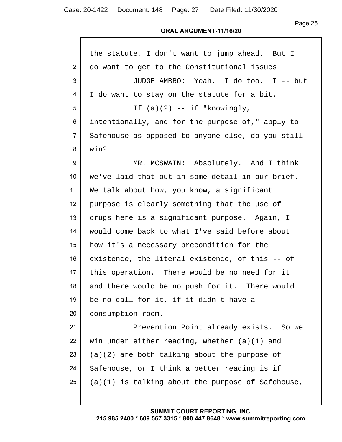#### **ORAL ARGUMENT-11/16/20**

| 1               | the statute, I don't want to jump ahead. But I      |
|-----------------|-----------------------------------------------------|
| $\overline{2}$  | do want to get to the Constitutional issues.        |
| 3               | JUDGE AMBRO: Yeah. I do too. I -- but               |
| 4               | I do want to stay on the statute for a bit.         |
| 5               | If $(a)(2)$ -- if "knowingly,                       |
| 6               | intentionally, and for the purpose of," apply to    |
| $\overline{7}$  | Safehouse as opposed to anyone else, do you still   |
| 8               | win?                                                |
| 9               | MR. MCSWAIN: Absolutely. And I think                |
| 10 <sup>°</sup> | we've laid that out in some detail in our brief.    |
| 11              | We talk about how, you know, a significant          |
| 12              | purpose is clearly something that the use of        |
| 13              | drugs here is a significant purpose. Again, I       |
| 14              | would come back to what I've said before about      |
| 15              | how it's a necessary precondition for the           |
| 16              | existence, the literal existence, of this -- of     |
| 17              | this operation. There would be no need for it       |
| 18              | and there would be no push for it. There would      |
| 19              | be no call for it, if it didn't have a              |
| 20              | consumption room.                                   |
| 21              | Prevention Point already exists. So we              |
| 22              | win under either reading, whether $(a)(1)$ and      |
| 23              | $(a)(2)$ are both talking about the purpose of      |
| 24              | Safehouse, or I think a better reading is if        |
| 25              | $(a)(1)$ is talking about the purpose of Safehouse, |
|                 |                                                     |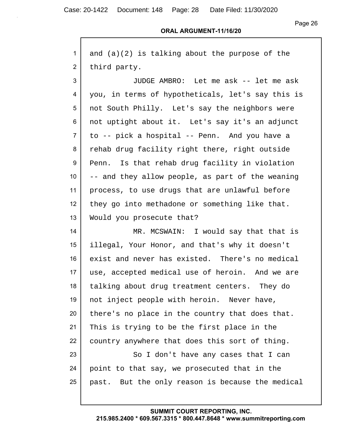Page 26

| 1               | and $(a)(2)$ is talking about the purpose of the  |
|-----------------|---------------------------------------------------|
| $\overline{2}$  | third party.                                      |
| 3               | JUDGE AMBRO: Let me ask -- let me ask             |
| 4               | you, in terms of hypotheticals, let's say this is |
| 5               | not South Philly. Let's say the neighbors were    |
| 6               | not uptight about it. Let's say it's an adjunct   |
| $\overline{7}$  | to -- pick a hospital -- Penn. And you have a     |
| 8               | rehab drug facility right there, right outside    |
| 9               | Penn. Is that rehab drug facility in violation    |
| 10 <sup>°</sup> | -- and they allow people, as part of the weaning  |
| 11              | process, to use drugs that are unlawful before    |
| 12              | they go into methadone or something like that.    |
| 13              | Would you prosecute that?                         |
| 14              | MR. MCSWAIN: I would say that that is             |
| 15              | illegal, Your Honor, and that's why it doesn't    |
| 16              | exist and never has existed. There's no medical   |
| 17              | use, accepted medical use of heroin. And we are   |
| 18              | talking about drug treatment centers. They do     |
| 19              | not inject people with heroin. Never have,        |
| 20              | there's no place in the country that does that.   |
| 21              | This is trying to be the first place in the       |
| 22              | country anywhere that does this sort of thing.    |
| 23              | So I don't have any cases that I can              |
| 24              | point to that say, we prosecuted that in the      |
| 25              | past. But the only reason is because the medical  |
|                 |                                                   |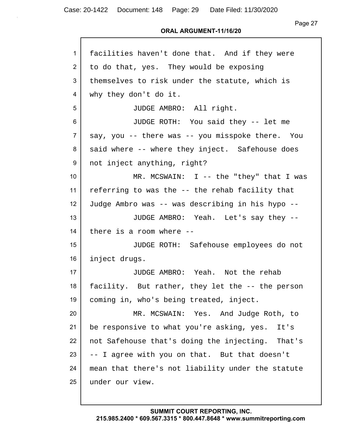| 1               | facilities haven't done that. And if they were    |
|-----------------|---------------------------------------------------|
| $\overline{2}$  | to do that, yes. They would be exposing           |
| 3               | themselves to risk under the statute, which is    |
| 4               | why they don't do it.                             |
| 5               | JUDGE AMBRO: All right.                           |
| 6               | JUDGE ROTH: You said they -- let me               |
| $\overline{7}$  | say, you -- there was -- you misspoke there. You  |
| 8               | said where -- where they inject. Safehouse does   |
| 9               | not inject anything, right?                       |
| 10 <sup>°</sup> | MR. MCSWAIN: $I$ -- the "they" that I was         |
| 11              | referring to was the -- the rehab facility that   |
| 12 <sub>2</sub> | Judge Ambro was -- was describing in his hypo --  |
| 13              | JUDGE AMBRO: Yeah. Let's say they --              |
| 14              | there is a room where --                          |
| 15              | JUDGE ROTH: Safehouse employees do not            |
| 16              | inject drugs.                                     |
| 17 <sup>2</sup> | JUDGE AMBRO: Yeah. Not the rehab                  |
| 18              | facility. But rather, they let the -- the person  |
| 19              | coming in, who's being treated, inject.           |
| 20              | MR. MCSWAIN: Yes. And Judge Roth, to              |
| 21              | be responsive to what you're asking, yes.<br>It's |
| 22              | not Safehouse that's doing the injecting. That's  |
| 23              | -- I agree with you on that. But that doesn't     |
| 24              | mean that there's not liability under the statute |
| 25              | under our view.                                   |
|                 |                                                   |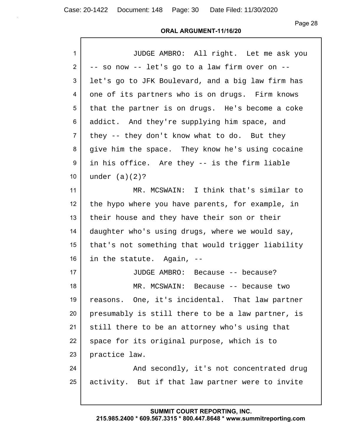Page 28

## **ORAL ARGUMENT-11/16/20**

| 1              | JUDGE AMBRO: All right. Let me ask you            |
|----------------|---------------------------------------------------|
| $\overline{2}$ | -- so now -- let's go to a law firm over on --    |
| 3              | let's go to JFK Boulevard, and a big law firm has |
| 4              | one of its partners who is on drugs. Firm knows   |
| 5              | that the partner is on drugs. He's become a coke  |
| 6              | addict. And they're supplying him space, and      |
| $\overline{7}$ | they -- they don't know what to do. But they      |
| 8              | give him the space. They know he's using cocaine  |
| 9              | in his office. Are they -- is the firm liable     |
| 10             | under $(a)(2)?$                                   |
| 11             | MR. MCSWAIN: I think that's similar to            |
| 12             | the hypo where you have parents, for example, in  |
| 13             | their house and they have their son or their      |
| 14             | daughter who's using drugs, where we would say,   |
| 15             | that's not something that would trigger liability |
| 16             | in the statute. Again, --                         |
| 17             | JUDGE AMBRO: Because -- because?                  |
| 18             | MR. MCSWAIN:<br>Because -- because two            |
| 19             | reasons. One, it's incidental. That law partner   |
| 20             | presumably is still there to be a law partner, is |
| 21             | still there to be an attorney who's using that    |
| 22             | space for its original purpose, which is to       |
| 23             | practice law.                                     |
| 24             | And secondly, it's not concentrated drug          |
| 25             | activity. But if that law partner were to invite  |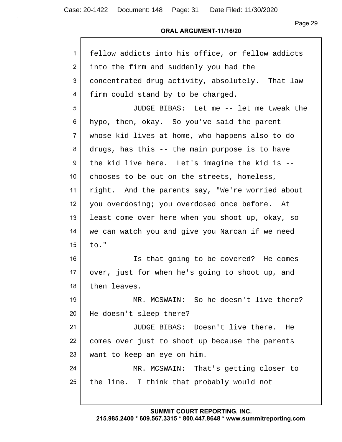## **ORAL ARGUMENT-11/16/20**

| 1               | fellow addicts into his office, or fellow addicts |
|-----------------|---------------------------------------------------|
| $\overline{2}$  | into the firm and suddenly you had the            |
| 3               | concentrated drug activity, absolutely. That law  |
| 4               | firm could stand by to be charged.                |
| 5               | JUDGE BIBAS: Let me -- let me tweak the           |
| 6               | hypo, then, okay. So you've said the parent       |
| $\overline{7}$  | whose kid lives at home, who happens also to do   |
| 8               | drugs, has this -- the main purpose is to have    |
| 9               | the kid live here. Let's imagine the kid is --    |
| 10 <sup>°</sup> | chooses to be out on the streets, homeless,       |
| 11              | right. And the parents say, "We're worried about  |
| 12              | you overdosing; you overdosed once before. At     |
| 13              | least come over here when you shoot up, okay, so  |
| 14              | we can watch you and give you Narcan if we need   |
| 15              | to."                                              |
| 16              | Is that going to be covered? He comes             |
| 17              | over, just for when he's going to shoot up, and   |
| 18              | then leaves.                                      |
| 19              | MR. MCSWAIN: So he doesn't live there?            |
| 20              | He doesn't sleep there?                           |
| 21              | JUDGE BIBAS: Doesn't live there. He               |
| 22              | comes over just to shoot up because the parents   |
| 23              | want to keep an eye on him.                       |
| 24              | MR. MCSWAIN: That's getting closer to             |
| 25              | the line. I think that probably would not         |
|                 |                                                   |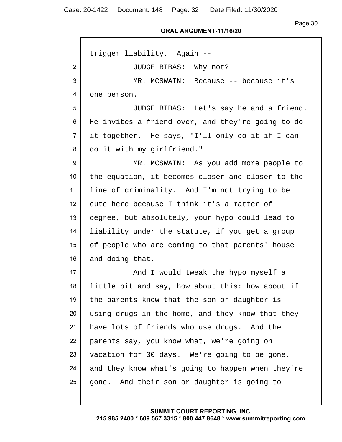Case: 20-1422 Document: 148 Page: 32 Date Filed: 11/30/2020

Г

Page 30

#### **ORAL ARGUMENT-11/16/20**

| 1              | trigger liability. Again --                       |
|----------------|---------------------------------------------------|
| $\overline{2}$ | JUDGE BIBAS: Why not?                             |
| 3              | MR. MCSWAIN: Because -- because it's              |
| 4              | one person.                                       |
| 5              | JUDGE BIBAS: Let's say he and a friend.           |
| 6              | He invites a friend over, and they're going to do |
| $\overline{7}$ | it together. He says, "I'll only do it if I can   |
| 8              | do it with my girlfriend."                        |
| 9              | MR. MCSWAIN: As you add more people to            |
| 10             | the equation, it becomes closer and closer to the |
| 11             | line of criminality. And I'm not trying to be     |
| 12             | cute here because I think it's a matter of        |
| 13             | degree, but absolutely, your hypo could lead to   |
| 14             | liability under the statute, if you get a group   |
| 15             | of people who are coming to that parents' house   |
| 16             | and doing that.                                   |
| 17             | And I would tweak the hypo myself a               |
| 18             | little bit and say, how about this: how about if  |
| 19             | the parents know that the son or daughter is      |
| 20             | using drugs in the home, and they know that they  |
| 21             | have lots of friends who use drugs. And the       |
| 22             | parents say, you know what, we're going on        |
| 23             | vacation for 30 days. We're going to be gone,     |
| 24             | and they know what's going to happen when they're |
| 25             | gone. And their son or daughter is going to       |
|                |                                                   |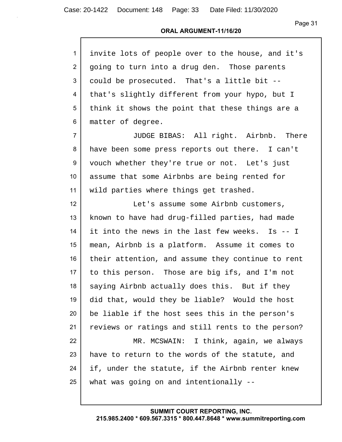| invite lots of people over to the house, and it's |
|---------------------------------------------------|
| going to turn into a drug den. Those parents      |
| could be prosecuted. That's a little bit --       |
| that's slightly different from your hypo, but I   |
| think it shows the point that these things are a  |
| matter of degree.                                 |
| JUDGE BIBAS: All right. Airbnb. There             |
| have been some press reports out there. I can't   |
| vouch whether they're true or not. Let's just     |
| assume that some Airbnbs are being rented for     |
| wild parties where things get trashed.            |
| Let's assume some Airbnb customers,               |
| known to have had drug-filled parties, had made   |
| it into the news in the last few weeks. Is -- I   |
| mean, Airbnb is a platform. Assume it comes to    |
| their attention, and assume they continue to rent |
| to this person. Those are big ifs, and I'm not    |
| saying Airbnb actually does this. But if they     |
| did that, would they be liable? Would the host    |
| be liable if the host sees this in the person's   |
| reviews or ratings and still rents to the person? |
| MR. MCSWAIN: I think, again, we always            |
| have to return to the words of the statute, and   |
| if, under the statute, if the Airbnb renter knew  |
| what was going on and intentionally --            |
|                                                   |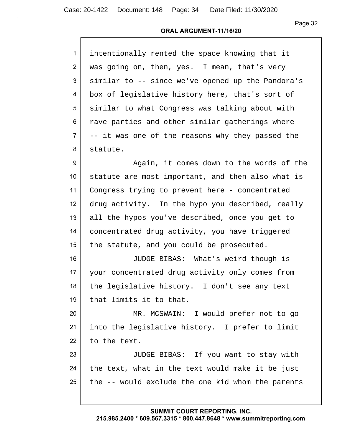#### **ORAL ARGUMENT-11/16/20**

| $\mathbf{1}$    | intentionally rented the space knowing that it    |
|-----------------|---------------------------------------------------|
| $\mathcal{P}$   | was going on, then, yes. I mean, that's very      |
| 3               | similar to -- since we've opened up the Pandora's |
| 4               | box of legislative history here, that's sort of   |
| 5               | similar to what Congress was talking about with   |
| 6               | rave parties and other similar gatherings where   |
| $\overline{7}$  | -- it was one of the reasons why they passed the  |
| 8               | statute.                                          |
| 9               | Again, it comes down to the words of the          |
| 10 <sup>°</sup> | statute are most important, and then also what is |
| 11              | Congress trying to prevent here - concentrated    |

 drug activity. In the hypo you described, really all the hypos you've described, once you get to concentrated drug activity, you have triggered 15 the statute, and you could be prosecuted.

 JUDGE BIBAS: What's weird though is your concentrated drug activity only comes from 18 | the legislative history. I don't see any text that limits it to that.

 MR. MCSWAIN: I would prefer not to go into the legislative history. I prefer to limit 22 to the text.

23 | JUDGE BIBAS: If you want to stay with 24 the text, what in the text would make it be just the  $-$  would exclude the one kid whom the parents

## **SUMMIT COURT REPORTING, INC.**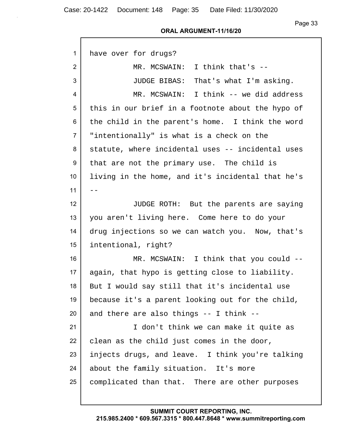Case: 20-1422 Document: 148 Page: 35 Date Filed: 11/30/2020

Г

Page 33

#### **ORAL ARGUMENT-11/16/20**

| 1               | have over for drugs?                              |
|-----------------|---------------------------------------------------|
| $\overline{2}$  | MR. MCSWAIN: I think that's --                    |
| 3               | JUDGE BIBAS: That's what I'm asking.              |
| 4               | MR. MCSWAIN: I think -- we did address            |
| 5               | this in our brief in a footnote about the hypo of |
| 6               | the child in the parent's home. I think the word  |
| $\overline{7}$  | "intentionally" is what is a check on the         |
| 8               | statute, where incidental uses -- incidental uses |
| 9               | that are not the primary use. The child is        |
| 10 <sup>°</sup> | living in the home, and it's incidental that he's |
| 11              | $- -$                                             |
| 12              | JUDGE ROTH: But the parents are saying            |
| 13              | you aren't living here. Come here to do your      |
| 14              | drug injections so we can watch you. Now, that's  |
| 15              | intentional, right?                               |
| 16              | MR. MCSWAIN: I think that you could --            |
| 17              | again, that hypo is getting close to liability.   |
| 18              | But I would say still that it's incidental use    |
| 19              | because it's a parent looking out for the child,  |
| 20              | and there are also things -- I think --           |
| 21              | I don't think we can make it quite as             |
| 22              | clean as the child just comes in the door,        |
| 23              | injects drugs, and leave. I think you're talking  |
| 24              | about the family situation. It's more             |
| 25              | complicated than that. There are other purposes   |
|                 |                                                   |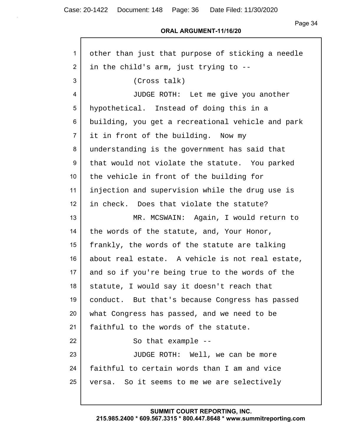## **ORAL ARGUMENT-11/16/20**

| 1               | other than just that purpose of sticking a needle |
|-----------------|---------------------------------------------------|
| $\overline{2}$  | in the child's arm, just trying to --             |
| 3               | (Cross talk)                                      |
| 4               | JUDGE ROTH: Let me give you another               |
| 5               | hypothetical. Instead of doing this in a          |
| 6               | building, you get a recreational vehicle and park |
| $\overline{7}$  | it in front of the building. Now my               |
| 8               | understanding is the government has said that     |
| 9               | that would not violate the statute. You parked    |
| 10 <sup>°</sup> | the vehicle in front of the building for          |
| 11              | injection and supervision while the drug use is   |
| 12              | in check. Does that violate the statute?          |
| 13              | MR. MCSWAIN: Again, I would return to             |
| 14              | the words of the statute, and, Your Honor,        |
| 15              | frankly, the words of the statute are talking     |
| 16              | about real estate. A vehicle is not real estate,  |
| 17              | and so if you're being true to the words of the   |
| 18              | statute, I would say it doesn't reach that        |
| 19              | conduct. But that's because Congress has passed   |
| 20              | what Congress has passed, and we need to be       |
| 21              | faithful to the words of the statute.             |
| 22              | So that example --                                |
| 23              | JUDGE ROTH: Well, we can be more                  |
| 24              | faithful to certain words than I am and vice      |
| 25              | versa. So it seems to me we are selectively       |
|                 |                                                   |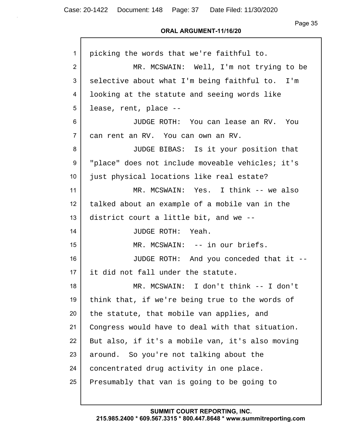Page 35

#### **ORAL ARGUMENT-11/16/20**

| 1              | picking the words that we're faithful to.        |
|----------------|--------------------------------------------------|
| $\overline{2}$ | MR. MCSWAIN: Well, I'm not trying to be          |
| 3              | selective about what I'm being faithful to. I'm  |
| 4              | looking at the statute and seeing words like     |
| 5              | lease, rent, place --                            |
| 6              | JUDGE ROTH: You can lease an RV. You             |
| $\overline{7}$ | can rent an RV. You can own an RV.               |
| 8              | JUDGE BIBAS: Is it your position that            |
| 9              | "place" does not include moveable vehicles; it's |
| 10             | just physical locations like real estate?        |
| 11             | MR. MCSWAIN: Yes. I think -- we also             |
| 12             | talked about an example of a mobile van in the   |
| 13             | district court a little bit, and we --           |
| 14             | JUDGE ROTH: Yeah.                                |
| 15             | MR. MCSWAIN: -- in our briefs.                   |
| 16             | JUDGE ROTH: And you conceded that it --          |
| 17             | it did not fall under the statute.               |
| 18             | MR. MCSWAIN: I don't think -- I don't            |
| 19             | think that, if we're being true to the words of  |
| 20             | the statute, that mobile van applies, and        |
| 21             | Congress would have to deal with that situation. |
| 22             | But also, if it's a mobile van, it's also moving |
| 23             | around. So you're not talking about the          |
| 24             | concentrated drug activity in one place.         |
| 25             | Presumably that van is going to be going to      |
|                |                                                  |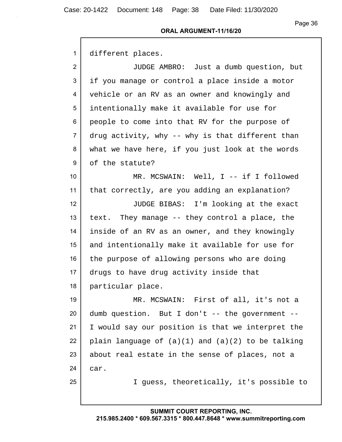#### **ORAL ARGUMENT-11/16/20**

1 different places.

 JUDGE AMBRO: Just a dumb question, but if you manage or control a place inside a motor vehicle or an RV as an owner and knowingly and intentionally make it available for use for people to come into that RV for the purpose of drug activity, why -- why is that different than what we have here, if you just look at the words 9 of the statute?

10 MR. MCSWAIN: Well, I -- if I followed 11 that correctly, are you adding an explanation?

12 JUDGE BIBAS: I'm looking at the exact 13 text. They manage  $-$  they control a place, the 14 inside of an RV as an owner, and they knowingly 15 and intentionally make it available for use for 16 the purpose of allowing persons who are doing 17 drugs to have drug activity inside that 18 particular place.

19 MR. MCSWAIN: First of all, it's not a  $20$  dumb question. But I don't  $-$  the government  $-$ 21 I would say our position is that we interpret the 22 plain language of  $(a)(1)$  and  $(a)(2)$  to be talking 23 about real estate in the sense of places, not a 24 car.

25 I guess, theoretically, it's possible to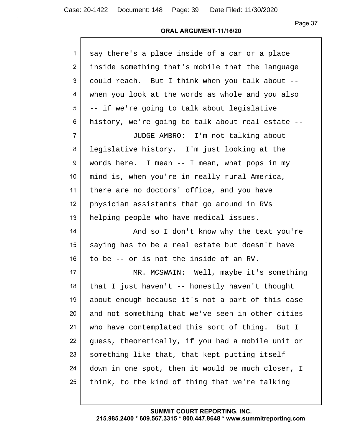Page 37

#### **ORAL ARGUMENT-11/16/20**

| 1                | say there's a place inside of a car or a place    |
|------------------|---------------------------------------------------|
| $\overline{2}$   | inside something that's mobile that the language  |
| 3                | could reach. But I think when you talk about --   |
| 4                | when you look at the words as whole and you also  |
| 5                | -- if we're going to talk about legislative       |
| 6                | history, we're going to talk about real estate -- |
| $\overline{7}$   | JUDGE AMBRO: I'm not talking about                |
| 8                | legislative history. I'm just looking at the      |
| 9                | words here. I mean $-$ I mean, what pops in my    |
| 10 <sup>°</sup>  | mind is, when you're in really rural America,     |
| 11               | there are no doctors' office, and you have        |
| 12 <sup>2</sup>  | physician assistants that go around in RVs        |
| 13               | helping people who have medical issues.           |
| 14               | And so I don't know why the text you're           |
| 15 <sub>15</sub> | saying has to be a real estate but doesn't have   |
| 16               | to be -- or is not the inside of an RV.           |
| 17               | MR. MCSWAIN: Well, maybe it's something           |
| 18               | that I just haven't -- honestly haven't thought   |
| 19               | about enough because it's not a part of this case |
| 20               | and not something that we've seen in other cities |
| 21               | who have contemplated this sort of thing. But I   |
| 22               | guess, theoretically, if you had a mobile unit or |
| 23               | something like that, that kept putting itself     |
| 24               | down in one spot, then it would be much closer, I |
| 25               | think, to the kind of thing that we're talking    |
|                  |                                                   |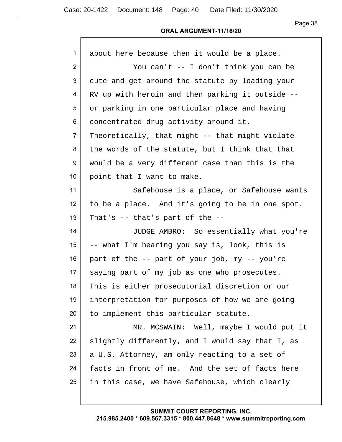| about here because then it would be a place.     |
|--------------------------------------------------|
| You can't -- I don't think you can be            |
| cute and get around the statute by loading your  |
| RV up with heroin and then parking it outside -- |
| or parking in one particular place and having    |
| concentrated drug activity around it.            |
| Theoretically, that might -- that might violate  |
| the words of the statute, but I think that that  |
| would be a very different case than this is the  |
| point that I want to make.                       |
| Safehouse is a place, or Safehouse wants         |
| to be a place. And it's going to be in one spot. |
| That's $-$ that's part of the $-$                |
| JUDGE AMBRO: So essentially what you're          |
| -- what I'm hearing you say is, look, this is    |
| part of the -- part of your job, my -- you're    |
| saying part of my job as one who prosecutes.     |
| This is either prosecutorial discretion or our   |
| interpretation for purposes of how we are going  |
| to implement this particular statute.            |
| MR. MCSWAIN: Well, maybe I would put it          |
| slightly differently, and I would say that I, as |
| a U.S. Attorney, am only reacting to a set of    |
| facts in front of me. And the set of facts here  |
| in this case, we have Safehouse, which clearly   |
|                                                  |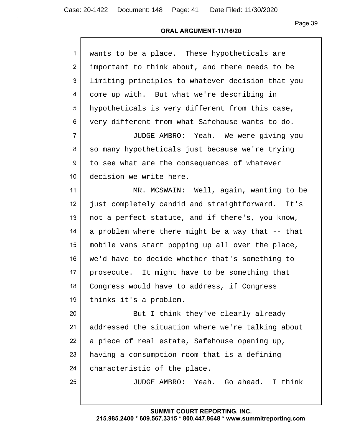| $\mathbf{1}$   | wants to be a place. These hypotheticals are      |
|----------------|---------------------------------------------------|
| 2              | important to think about, and there needs to be   |
| 3              | limiting principles to whatever decision that you |
| 4              | come up with. But what we're describing in        |
| 5              | hypotheticals is very different from this case,   |
| 6              | very different from what Safehouse wants to do.   |
| $\overline{7}$ | JUDGE AMBRO: Yeah. We were giving you             |
| 8              | so many hypotheticals just because we're trying   |
| 9              | to see what are the consequences of whatever      |
| 10             | decision we write here.                           |
| 11             | MR. MCSWAIN: Well, again, wanting to be           |
| 12             | just completely candid and straightforward. It's  |
| 13             | not a perfect statute, and if there's, you know,  |
| 14             | a problem where there might be a way that -- that |
| 15             | mobile vans start popping up all over the place,  |
| 16             | we'd have to decide whether that's something to   |
| 17             | prosecute. It might have to be something that     |
| 18             | Congress would have to address, if Congress       |
| 19             | thinks it's a problem.                            |
| 20             | But I think they've clearly already               |
| 21             | addressed the situation where we're talking about |
| 22             | a piece of real estate, Safehouse opening up,     |
| 23             | having a consumption room that is a defining      |
| 24             | characteristic of the place.                      |
| 25             | JUDGE AMBRO: Yeah. Go ahead. I think              |
|                |                                                   |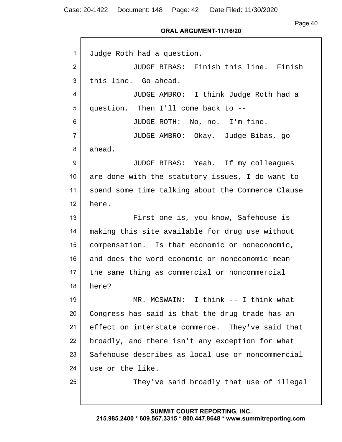Page 40

| $\mathbf{1}$   | Judge Roth had a question.                        |
|----------------|---------------------------------------------------|
| 2              | JUDGE BIBAS: Finish this line. Finish             |
| 3              | this line. Go ahead.                              |
| 4              | JUDGE AMBRO: I think Judge Roth had a             |
| 5              | question. Then I'll come back to --               |
| 6              | JUDGE ROTH: No, no. I'm fine.                     |
| $\overline{7}$ | JUDGE AMBRO: Okay. Judge Bibas, go                |
| 8              | ahead.                                            |
| 9              | JUDGE BIBAS: Yeah. If my colleagues               |
| 10             | are done with the statutory issues, I do want to  |
| 11             | spend some time talking about the Commerce Clause |
| 12             | here.                                             |
| 13             | First one is, you know, Safehouse is              |
| 14             | making this site available for drug use without   |
| 15             | compensation. Is that economic or noneconomic,    |
| 16             | and does the word economic or noneconomic mean    |
| 17             | the same thing as commercial or noncommercial     |
| 18             | here?                                             |
| 19             | MR. MCSWAIN: I think -- I think what              |
| 20             | Congress has said is that the drug trade has an   |
| 21             | effect on interstate commerce. They've said that  |
| 22             | broadly, and there isn't any exception for what   |
| 23             | Safehouse describes as local use or noncommercial |
| 24             | use or the like.                                  |
| 25             | They've said broadly that use of illegal          |
|                |                                                   |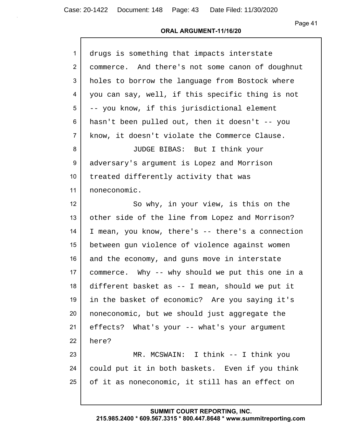### **ORAL ARGUMENT-11/16/20**

| $\mathbf{1}$   | drugs is something that impacts interstate        |
|----------------|---------------------------------------------------|
| $\overline{2}$ | commerce. And there's not some canon of doughnut  |
| 3              | holes to borrow the language from Bostock where   |
| 4              | you can say, well, if this specific thing is not  |
| 5              | -- you know, if this jurisdictional element       |
| 6              | hasn't been pulled out, then it doesn't -- you    |
| $\overline{7}$ | know, it doesn't violate the Commerce Clause.     |
| 8              | JUDGE BIBAS: But I think your                     |
| 9              | adversary's argument is Lopez and Morrison        |
| 10             | treated differently activity that was             |
| 11             | noneconomic.                                      |
| 12             | So why, in your view, is this on the              |
| 13             | other side of the line from Lopez and Morrison?   |
| 14             | I mean, you know, there's -- there's a connection |
| 15             | between gun violence of violence against women    |
| 16             | and the economy, and guns move in interstate      |
| 17             | commerce. Why -- why should we put this one in a  |
| 18             | different basket as -- I mean, should we put it   |
| 19             | in the basket of economic? Are you saying it's    |
| 20             | noneconomic, but we should just aggregate the     |
| 21             | effects? What's your -- what's your argument      |
| 22             | here?                                             |
| 23             | MR. MCSWAIN: I think -- I think you               |
| 24             | could put it in both baskets. Even if you think   |
| 25             | of it as noneconomic, it still has an effect on   |
|                |                                                   |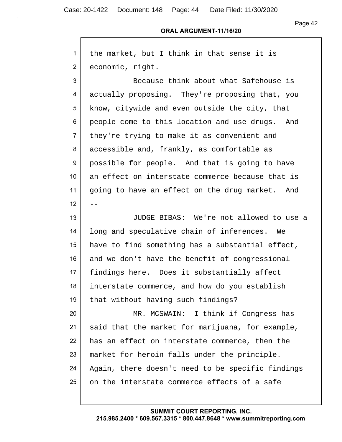Case: 20-1422 Document: 148 Page: 44 Date Filed: 11/30/2020

# Page 42

### **ORAL ARGUMENT-11/16/20**

| $\mathbf{1}$    | the market, but I think in that sense it is       |
|-----------------|---------------------------------------------------|
| $\overline{2}$  | economic, right.                                  |
| 3               | Because think about what Safehouse is             |
| 4               | actually proposing. They're proposing that, you   |
| 5               | know, citywide and even outside the city, that    |
| 6               | people come to this location and use drugs. And   |
| $\overline{7}$  | they're trying to make it as convenient and       |
| 8               | accessible and, frankly, as comfortable as        |
| 9               | possible for people. And that is going to have    |
| 10              | an effect on interstate commerce because that is  |
| 11              | going to have an effect on the drug market. And   |
| 12 <sub>2</sub> |                                                   |
| 13              | JUDGE BIBAS: We're not allowed to use a           |
| 14              | long and speculative chain of inferences. We      |
| $15\,$          | have to find something has a substantial effect,  |
| 16              | and we don't have the benefit of congressional    |
| 17              | findings here. Does it substantially affect       |
| 18              | interstate commerce, and how do you establish     |
| 19              | that without having such findings?                |
| 20              | MR. MCSWAIN: I think if Congress has              |
| 21              | said that the market for marijuana, for example,  |
| 22              | has an effect on interstate commerce, then the    |
| 23              | market for heroin falls under the principle.      |
| 24              | Again, there doesn't need to be specific findings |
| 25              | on the interstate commerce effects of a safe      |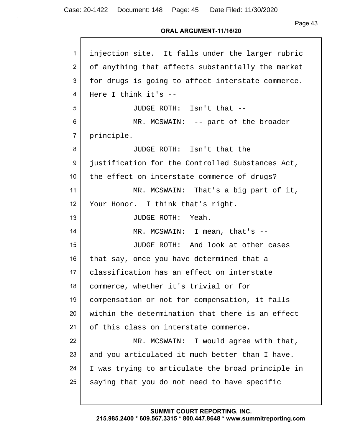Page 43

#### **ORAL ARGUMENT-11/16/20**

| $\mathbf{1}$    | injection site. It falls under the larger rubric  |
|-----------------|---------------------------------------------------|
| $\overline{2}$  | of anything that affects substantially the market |
| 3               | for drugs is going to affect interstate commerce. |
| 4               | Here I think it's --                              |
| 5               | JUDGE ROTH: Isn't that --                         |
| 6               | MR. MCSWAIN: -- part of the broader               |
| $\overline{7}$  | principle.                                        |
| 8               | JUDGE ROTH: Isn't that the                        |
| 9               | justification for the Controlled Substances Act,  |
| 10 <sup>°</sup> | the effect on interstate commerce of drugs?       |
| 11              | MR. MCSWAIN: That's a big part of it,             |
| 12              | Your Honor. I think that's right.                 |
| 13              | JUDGE ROTH: Yeah.                                 |
| 14              | MR. MCSWAIN: I mean, that's --                    |
| 15              | JUDGE ROTH: And look at other cases               |
| 16              | that say, once you have determined that a         |
| 17 <sub>2</sub> | classification has an effect on interstate        |
| 18              | commerce, whether it's trivial or for             |
| 19              | compensation or not for compensation, it falls    |
| 20              | within the determination that there is an effect  |
| 21              | of this class on interstate commerce.             |
| 22              | MR. MCSWAIN: I would agree with that,             |
| 23              | and you articulated it much better than I have.   |
| 24              | I was trying to articulate the broad principle in |
| 25              | saying that you do not need to have specific      |
|                 |                                                   |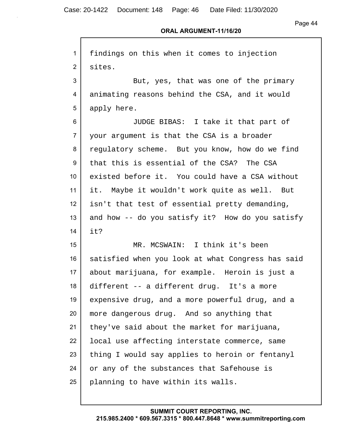Case: 20-1422 Document: 148 Page: 46 Date Filed: 11/30/2020

Page 44

| $\mathbf{1}$   | findings on this when it comes to injection       |
|----------------|---------------------------------------------------|
| $\overline{2}$ | sites.                                            |
| 3              | But, yes, that was one of the primary             |
| 4              | animating reasons behind the CSA, and it would    |
| 5              | apply here.                                       |
| 6              | JUDGE BIBAS: I take it that part of               |
| $\overline{7}$ | your argument is that the CSA is a broader        |
| 8              | regulatory scheme. But you know, how do we find   |
| 9              | that this is essential of the CSA? The CSA        |
| 10             | existed before it. You could have a CSA without   |
| 11             | it. Maybe it wouldn't work quite as well. But     |
| 12             | isn't that test of essential pretty demanding,    |
| 13             | and how -- do you satisfy it? How do you satisfy  |
| 14             | it?                                               |
| 15             | MR. MCSWAIN: I think it's been                    |
| 16             | satisfied when you look at what Congress has said |
| 17             | about marijuana, for example. Heroin is just a    |
| 18             | different -- a different drug. It's a more        |
| 19             | expensive drug, and a more powerful drug, and a   |
| 20             | more dangerous drug. And so anything that         |
| 21             | they've said about the market for marijuana,      |
| 22             | local use affecting interstate commerce, same     |
| 23             | thing I would say applies to heroin or fentanyl   |
| 24             | or any of the substances that Safehouse is        |
| 25             | planning to have within its walls.                |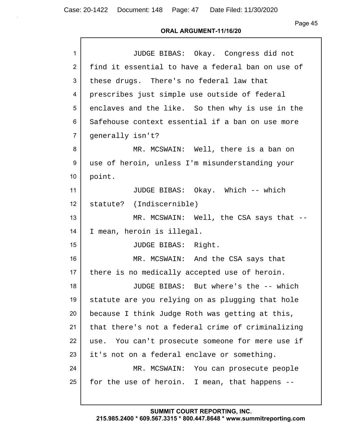Page 45

#### **ORAL ARGUMENT-11/16/20**

| $\mathbf{1}$    | JUDGE BIBAS: Okay. Congress did not               |
|-----------------|---------------------------------------------------|
| $\overline{2}$  | find it essential to have a federal ban on use of |
| 3               | these drugs. There's no federal law that          |
| 4               | prescribes just simple use outside of federal     |
| 5               | enclaves and the like. So then why is use in the  |
| 6               | Safehouse context essential if a ban on use more  |
| $\overline{7}$  | generally isn't?                                  |
| 8               | MR. MCSWAIN: Well, there is a ban on              |
| 9               | use of heroin, unless I'm misunderstanding your   |
| 10 <sup>°</sup> | point.                                            |
| 11              | JUDGE BIBAS: Okay. Which -- which                 |
| 12              | statute? (Indiscernible)                          |
| 13              | MR. MCSWAIN: Well, the CSA says that --           |
| 14              | I mean, heroin is illegal.                        |
| 15              | JUDGE BIBAS: Right.                               |
| 16              | MR. MCSWAIN: And the CSA says that                |
| 17              | there is no medically accepted use of heroin.     |
| 18              | JUDGE BIBAS: But where's the -- which             |
| 19              | statute are you relying on as plugging that hole  |
| 20              | because I think Judge Roth was getting at this,   |
| 21              | that there's not a federal crime of criminalizing |
| 22              | use. You can't prosecute someone for mere use if  |
| 23              | it's not on a federal enclave or something.       |
| 24              | MR. MCSWAIN: You can prosecute people             |
| 25              | for the use of heroin. I mean, that happens --    |
|                 |                                                   |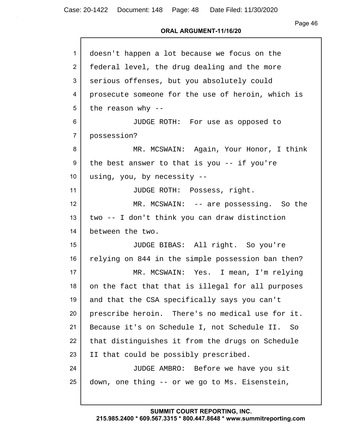## **ORAL ARGUMENT-11/16/20**

| 1               | doesn't happen a lot because we focus on the      |
|-----------------|---------------------------------------------------|
| $\overline{2}$  | federal level, the drug dealing and the more      |
| 3               | serious offenses, but you absolutely could        |
| 4               | prosecute someone for the use of heroin, which is |
| 5               | the reason why $-$                                |
| 6               | JUDGE ROTH: For use as opposed to                 |
| $\overline{7}$  | possession?                                       |
| 8               | MR. MCSWAIN: Again, Your Honor, I think           |
| 9               | the best answer to that is you $-$ - if you're    |
| 10              | using, you, by necessity --                       |
| 11              | JUDGE ROTH: Possess, right.                       |
| 12 <sup>°</sup> | MR. MCSWAIN: -- are possessing. So the            |
| 13              | two -- I don't think you can draw distinction     |
| 14              | between the two.                                  |
| 15 <sub>1</sub> | JUDGE BIBAS: All right. So you're                 |
| 16              | relying on 844 in the simple possession ban then? |
| 17              | MR. MCSWAIN: Yes. I mean, I'm relying             |
| 18              | on the fact that that is illegal for all purposes |
| 19              | and that the CSA specifically says you can't      |
| 20              | prescribe heroin. There's no medical use for it.  |
| 21              | Because it's on Schedule I, not Schedule II. So   |
| 22              | that distinguishes it from the drugs on Schedule  |
| 23              | II that could be possibly prescribed.             |
| 24              | JUDGE AMBRO: Before we have you sit               |
| 25              | down, one thing -- or we go to Ms. Eisenstein,    |
|                 |                                                   |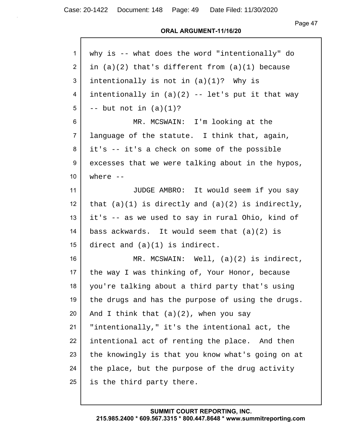Page 47

| 1               | why is -- what does the word "intentionally" do       |
|-----------------|-------------------------------------------------------|
| $\overline{2}$  | in $(a)(2)$ that's different from $(a)(1)$ because    |
| 3               | intentionally is not in $(a)(1)$ ? Why is             |
| 4               | intentionally in $(a)(2)$ -- let's put it that way    |
| 5               | $--$ but not in $(a)(1)?$                             |
| 6               | MR. MCSWAIN: I'm looking at the                       |
| $\overline{7}$  | language of the statute. I think that, again,         |
| 8               | it's -- it's a check on some of the possible          |
| 9               | excesses that we were talking about in the hypos,     |
| 10 <sup>°</sup> | where $--$                                            |
| 11              | JUDGE AMBRO: It would seem if you say                 |
| 12 <sup>2</sup> | that $(a)(1)$ is directly and $(a)(2)$ is indirectly, |
| 13              | it's -- as we used to say in rural Ohio, kind of      |
| 14              | bass ackwards. It would seem that $(a)(2)$ is         |
| 15              | direct and $(a)(1)$ is indirect.                      |
| 16              | MR. MCSWAIN: Well, $(a)(2)$ is indirect,              |
| 17              | the way I was thinking of, Your Honor, because        |
| 18              | you're talking about a third party that's using       |
| 19              | the drugs and has the purpose of using the drugs.     |
| 20              | And I think that (a)(2), when you say                 |
| 21              | "intentionally," it's the intentional act, the        |
| 22              | intentional act of renting the place. And then        |
| 23              | the knowingly is that you know what's going on at     |
| 24              | the place, but the purpose of the drug activity       |
| 25              | is the third party there.                             |
|                 |                                                       |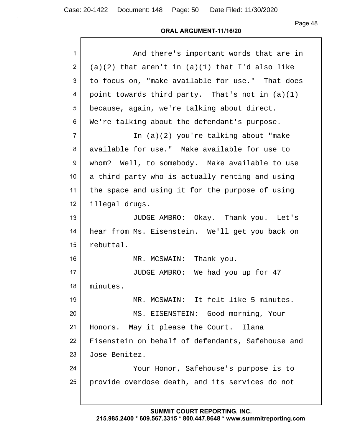Case: 20-1422 Document: 148 Page: 50 Date Filed: 11/30/2020

Page 48

# **ORAL ARGUMENT-11/16/20**

| $\mathbf{1}$   | And there's important words that are in             |
|----------------|-----------------------------------------------------|
| $\overline{2}$ | $(a)(2)$ that aren't in $(a)(1)$ that I'd also like |
| 3              | to focus on, "make available for use." That does    |
| 4              | point towards third party. That's not in (a)(1)     |
| 5              | because, again, we're talking about direct.         |
| 6              | We're talking about the defendant's purpose.        |
| $\overline{7}$ | In (a)(2) you're talking about "make                |
| 8              | available for use." Make available for use to       |
| 9              | whom? Well, to somebody. Make available to use      |
| 10             | a third party who is actually renting and using     |
| 11             | the space and using it for the purpose of using     |
| 12             | illegal drugs.                                      |
| 13             | JUDGE AMBRO: Okay. Thank you. Let's                 |
| 14             | hear from Ms. Eisenstein. We'll get you back on     |
| 15             | rebuttal.                                           |
| 16             | MR. MCSWAIN: Thank you.                             |
| 17             | JUDGE AMBRO: We had you up for 47                   |
| 18             | minutes.                                            |
| 19             | MR. MCSWAIN: It felt like 5 minutes.                |
| 20             | MS. EISENSTEIN: Good morning, Your                  |
| 21             | Honors. May it please the Court.<br>Ilana           |
| 22             | Eisenstein on behalf of defendants, Safehouse and   |
| 23             | Jose Benitez.                                       |
| 24             | Your Honor, Safehouse's purpose is to               |
| 25             | provide overdose death, and its services do not     |
|                |                                                     |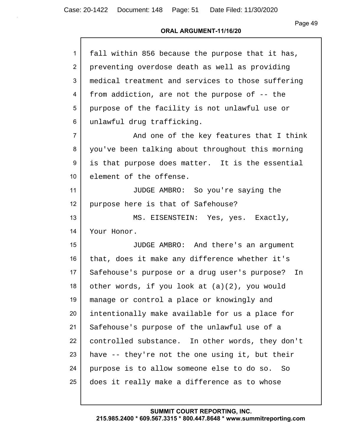| $\mathbf{1}$    | fall within 856 because the purpose that it has,  |
|-----------------|---------------------------------------------------|
| $\overline{2}$  | preventing overdose death as well as providing    |
| 3               | medical treatment and services to those suffering |
| 4               | from addiction, are not the purpose of -- the     |
| 5               | purpose of the facility is not unlawful use or    |
| 6               | unlawful drug trafficking.                        |
| $\overline{7}$  | And one of the key features that I think          |
| 8               | you've been talking about throughout this morning |
| 9               | is that purpose does matter. It is the essential  |
| 10 <sup>°</sup> | element of the offense.                           |
| 11              | JUDGE AMBRO: So you're saying the                 |
| 12              | purpose here is that of Safehouse?                |
| 13              | MS. EISENSTEIN: Yes, yes. Exactly,                |
| 14              | Your Honor.                                       |
| 15              | JUDGE AMBRO: And there's an argument              |
| 16              | that, does it make any difference whether it's    |
| 17              | Safehouse's purpose or a drug user's purpose? In  |
| 18              | other words, if you look at $(a)(2)$ , you would  |
| 19              | manage or control a place or knowingly and        |
| 20              | intentionally make available for us a place for   |
| 21              | Safehouse's purpose of the unlawful use of a      |
| 22              | controlled substance. In other words, they don't  |
| 23              | have -- they're not the one using it, but their   |
| 24              | purpose is to allow someone else to do so. So     |
| 25              | does it really make a difference as to whose      |
|                 |                                                   |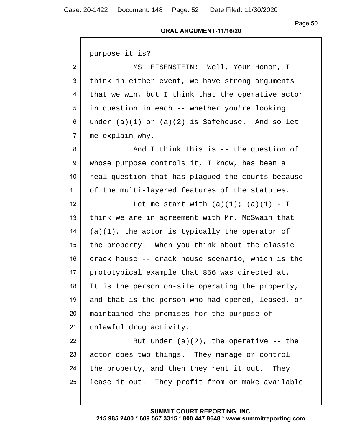#### **ORAL ARGUMENT-11/16/20**

| 1              | purpose it is?                                      |
|----------------|-----------------------------------------------------|
| $\overline{2}$ | MS. EISENSTEIN: Well, Your Honor, I                 |
| 3              | think in either event, we have strong arguments     |
| 4              | that we win, but I think that the operative actor   |
| 5              | in question in each -- whether you're looking       |
| 6              | under $(a)(1)$ or $(a)(2)$ is Safehouse. And so let |
| $\overline{7}$ | me explain why.                                     |
| 8              | And I think this is -- the question of              |
| 9              | whose purpose controls it, I know, has been a       |
| 10             | real question that has plagued the courts because   |
| 11             | of the multi-layered features of the statutes.      |
| 12             | Let me start with $(a)(1)$ ; $(a)(1) - I$           |
| 13             | think we are in agreement with Mr. McSwain that     |
| 14             | $(a)(1)$ , the actor is typically the operator of   |
| 15             | the property. When you think about the classic      |
| 16             | crack house -- crack house scenario, which is the   |
| 17             | prototypical example that 856 was directed at.      |
| 18             | It is the person on-site operating the property,    |
| 19             | and that is the person who had opened, leased, or   |
| 20             | maintained the premises for the purpose of          |
| 21             | unlawful drug activity.                             |
| 22             | But under $(a)(2)$ , the operative -- the           |
| 23             | actor does two things. They manage or control       |
| 24             | the property, and then they rent it out. They       |
| 25             | lease it out. They profit from or make available    |
|                |                                                     |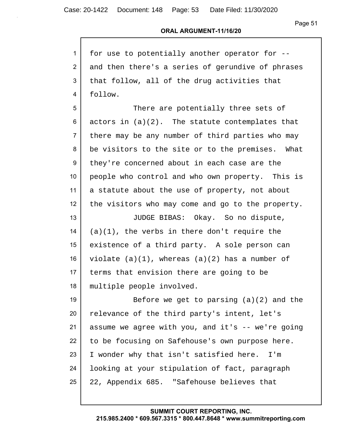# **ORAL ARGUMENT-11/16/20**

| $\mathbf{1}$    | for use to potentially another operator for --      |
|-----------------|-----------------------------------------------------|
| 2               | and then there's a series of gerundive of phrases   |
| 3               | that follow, all of the drug activities that        |
| 4               | follow.                                             |
| 5               | There are potentially three sets of                 |
| 6               | actors in $(a)(2)$ . The statute contemplates that  |
| $\overline{7}$  | there may be any number of third parties who may    |
| 8               | be visitors to the site or to the premises. What    |
| 9               | they're concerned about in each case are the        |
| 10              | people who control and who own property. This is    |
| 11              | a statute about the use of property, not about      |
| 12 <sub>2</sub> | the visitors who may come and go to the property.   |
| 13              | JUDGE BIBAS: Okay. So no dispute,                   |
| 14              | $(a)(1)$ , the verbs in there don't require the     |
| 15              | existence of a third party. A sole person can       |
| 16              | violate $(a)(1)$ , whereas $(a)(2)$ has a number of |
| 17              | terms that envision there are going to be           |
| 18              | multiple people involved.                           |
| 19              | Before we get to parsing $(a)(2)$ and the           |
| 20              | relevance of the third party's intent, let's        |
| 21              | assume we agree with you, and it's -- we're going   |
| 22              | to be focusing on Safehouse's own purpose here.     |
| 23              | I wonder why that isn't satisfied here. I'm         |
| 24              | looking at your stipulation of fact, paragraph      |
| 25              | 22, Appendix 685. "Safehouse believes that          |
|                 |                                                     |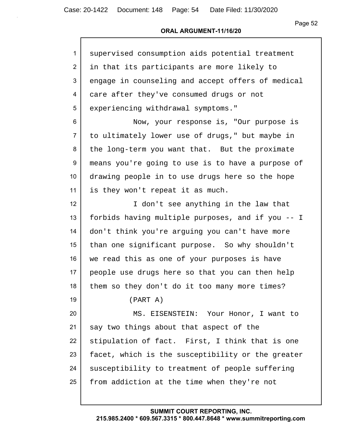### **ORAL ARGUMENT-11/16/20**

| $\mathbf{1}$    | supervised consumption aids potential treatment   |
|-----------------|---------------------------------------------------|
| $\overline{2}$  | in that its participants are more likely to       |
| 3               | engage in counseling and accept offers of medical |
| 4               | care after they've consumed drugs or not          |
| 5               | experiencing withdrawal symptoms."                |
| 6               | Now, your response is, "Our purpose is            |
| $\overline{7}$  | to ultimately lower use of drugs," but maybe in   |
| 8               | the long-term you want that. But the proximate    |
| 9               | means you're going to use is to have a purpose of |
| 10 <sup>°</sup> | drawing people in to use drugs here so the hope   |
| 11              | is they won't repeat it as much.                  |
| 12              | I don't see anything in the law that              |
| 13              | forbids having multiple purposes, and if you -- I |
| 14              | don't think you're arguing you can't have more    |
| 15              | than one significant purpose. So why shouldn't    |
| 16              | we read this as one of your purposes is have      |
| 17              | people use drugs here so that you can then help   |
| 18              | them so they don't do it too many more times?     |
| 19              | (PART A)                                          |
| 20              | MS. EISENSTEIN: Your Honor, I want to             |
| 21              | say two things about that aspect of the           |
| 22              | stipulation of fact. First, I think that is one   |
| 23              | facet, which is the susceptibility or the greater |
| 24              | susceptibility to treatment of people suffering   |
| 25              | from addiction at the time when they're not       |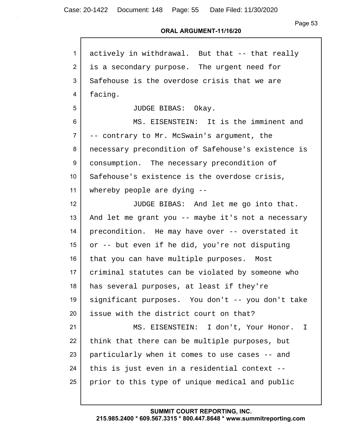#### **ORAL ARGUMENT-11/16/20**

| $\mathbf{1}$   | actively in withdrawal. But that -- that really    |
|----------------|----------------------------------------------------|
| 2              | is a secondary purpose. The urgent need for        |
| 3              | Safehouse is the overdose crisis that we are       |
| 4              | facing.                                            |
| 5              | JUDGE BIBAS: Okay.                                 |
| 6              | MS. EISENSTEIN: It is the imminent and             |
| $\overline{7}$ | -- contrary to Mr. McSwain's argument, the         |
| 8              | necessary precondition of Safehouse's existence is |
| 9              | consumption. The necessary precondition of         |
| 10             | Safehouse's existence is the overdose crisis,      |
| 11             | whereby people are dying $-$ -                     |
| 12             | JUDGE BIBAS: And let me go into that.              |
| 13             | And let me grant you -- maybe it's not a necessary |
| 14             | precondition. He may have over -- overstated it    |
| 15             | or -- but even if he did, you're not disputing     |
| 16             | that you can have multiple purposes. Most          |
| 17             | criminal statutes can be violated by someone who   |
| 18             | has several purposes, at least if they're          |
| 19             | significant purposes. You don't -- you don't take  |
| 20             | issue with the district court on that?             |
| 21             | MS. EISENSTEIN: I don't, Your Honor.<br>I          |
| 22             | think that there can be multiple purposes, but     |
| 23             | particularly when it comes to use cases -- and     |
| 24             | this is just even in a residential context --      |
| 25             | prior to this type of unique medical and public    |
|                |                                                    |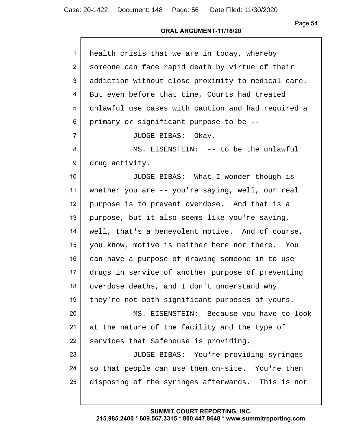#### **ORAL ARGUMENT-11/16/20**

| $\mathbf{1}$    | health crisis that we are in today, whereby        |
|-----------------|----------------------------------------------------|
| $\overline{2}$  | someone can face rapid death by virtue of their    |
| 3               | addiction without close proximity to medical care. |
| 4               | But even before that time, Courts had treated      |
| 5               | unlawful use cases with caution and had required a |
| 6               | primary or significant purpose to be --            |
| $\overline{7}$  | JUDGE BIBAS: Okay.                                 |
| 8               | MS. EISENSTEIN: -- to be the unlawful              |
| 9               | drug activity.                                     |
| 10 <sup>°</sup> | JUDGE BIBAS: What I wonder though is               |
| 11              | whether you are -- you're saying, well, our real   |
| 12              | purpose is to prevent overdose. And that is a      |
| 13              | purpose, but it also seems like you're saying,     |
| 14              | well, that's a benevolent motive. And of course,   |
| 15 <sub>1</sub> | you know, motive is neither here nor there. You    |
| 16              | can have a purpose of drawing someone in to use    |
| 17              | drugs in service of another purpose of preventing  |
| 18              | overdose deaths, and I don't understand why        |
| 19              | they're not both significant purposes of yours.    |
| 20              | MS. EISENSTEIN: Because you have to look           |
| 21              | at the nature of the facility and the type of      |
| 22              | services that Safehouse is providing.              |
| 23              | JUDGE BIBAS: You're providing syringes             |
| 24              | so that people can use them on-site. You're then   |
| 25              | disposing of the syringes afterwards. This is not  |
|                 |                                                    |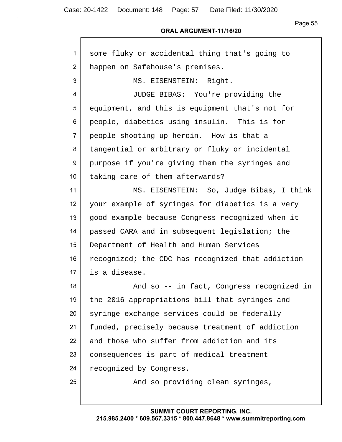| $\mathbf{1}$   | some fluky or accidental thing that's going to    |
|----------------|---------------------------------------------------|
| 2              | happen on Safehouse's premises.                   |
| 3              | MS. EISENSTEIN: Right.                            |
| 4              | JUDGE BIBAS: You're providing the                 |
| 5              | equipment, and this is equipment that's not for   |
| 6              | people, diabetics using insulin. This is for      |
| $\overline{7}$ | people shooting up heroin. How is that a          |
| 8              | tangential or arbitrary or fluky or incidental    |
| 9              | purpose if you're giving them the syringes and    |
| 10             | taking care of them afterwards?                   |
| 11             | MS. EISENSTEIN: So, Judge Bibas, I think          |
| 12             | your example of syringes for diabetics is a very  |
| 13             | good example because Congress recognized when it  |
| 14             | passed CARA and in subsequent legislation; the    |
| 15             | Department of Health and Human Services           |
| 16             | recognized; the CDC has recognized that addiction |
| 17             | is a disease.                                     |
| 18             | And so -- in fact, Congress recognized in         |
| 19             | the 2016 appropriations bill that syringes and    |
| 20             | syringe exchange services could be federally      |
| 21             | funded, precisely because treatment of addiction  |
| 22             | and those who suffer from addiction and its       |
| 23             | consequences is part of medical treatment         |
| 24             | recognized by Congress.                           |
| 25             | And so providing clean syringes,                  |
|                |                                                   |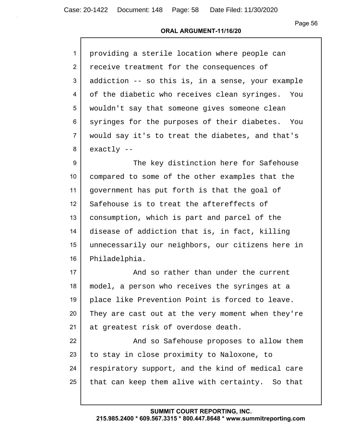#### **ORAL ARGUMENT-11/16/20**

| $\mathbf{1}$   | providing a sterile location where people can     |
|----------------|---------------------------------------------------|
| $\overline{2}$ | receive treatment for the consequences of         |
| $\overline{3}$ | addiction -- so this is, in a sense, your example |
| $\overline{4}$ | of the diabetic who receives clean syringes. You  |
| 5              | wouldn't say that someone gives someone clean     |
| 6              | syringes for the purposes of their diabetes. You  |
| $\overline{7}$ | would say it's to treat the diabetes, and that's  |
| 8              | $exactly --$                                      |

9 The key distinction here for Safehouse compared to some of the other examples that the government has put forth is that the goal of 12 Safehouse is to treat the aftereffects of consumption, which is part and parcel of the disease of addiction that is, in fact, killing unnecessarily our neighbors, our citizens here in Philadelphia.

17 and so rather than under the current 18 model, a person who receives the syringes at a 19 place like Prevention Point is forced to leave. 20 They are cast out at the very moment when they're 21 at greatest risk of overdose death.

22 **And so Safehouse proposes to allow them** 23 to stay in close proximity to Naloxone, to 24 respiratory support, and the kind of medical care  $25$  that can keep them alive with certainty. So that

#### **SUMMIT COURT REPORTING, INC.**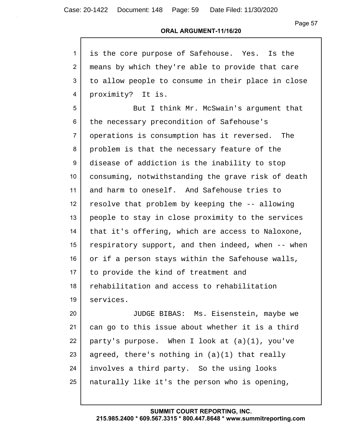Page 57

#### **ORAL ARGUMENT-11/16/20**

| $\mathbf{1}$    | is the core purpose of Safehouse. Yes. Is the      |
|-----------------|----------------------------------------------------|
| $\overline{2}$  | means by which they're able to provide that care   |
| 3               | to allow people to consume in their place in close |
| 4               | proximity? It is.                                  |
| 5               | But I think Mr. McSwain's argument that            |
| 6               | the necessary precondition of Safehouse's          |
| $\overline{7}$  | operations is consumption has it reversed. The     |
| 8               | problem is that the necessary feature of the       |
| 9               | disease of addiction is the inability to stop      |
| 10 <sup>°</sup> | consuming, notwithstanding the grave risk of death |
| 11              | and harm to oneself. And Safehouse tries to        |
| 12              | resolve that problem by keeping the -- allowing    |
| 13              | people to stay in close proximity to the services  |
| 14              | that it's offering, which are access to Naloxone,  |
| 15              | respiratory support, and then indeed, when -- when |
| 16              | or if a person stays within the Safehouse walls,   |
| 17              | to provide the kind of treatment and               |
| 18              | rehabilitation and access to rehabilitation        |
| 19              | services.                                          |
| 20              | JUDGE BIBAS: Ms. Eisenstein, maybe we              |
| 21              | can go to this issue about whether it is a third   |
| 22              | party's purpose. When I look at $(a)(1)$ , you've  |
| 23              | agreed, there's nothing in $(a)(1)$ that really    |
| 24              | involves a third party. So the using looks         |

naturally like it's the person who is opening,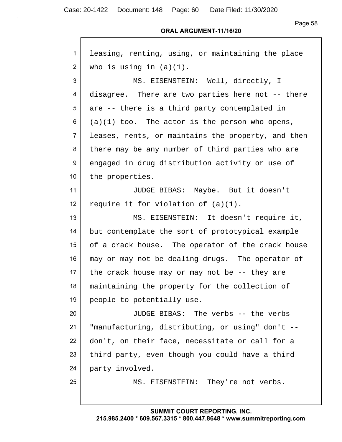Case: 20-1422 Document: 148 Page: 60 Date Filed: 11/30/2020

Г

Page 58

#### **ORAL ARGUMENT-11/16/20**

| $\mathbf{1}$   | leasing, renting, using, or maintaining the place  |
|----------------|----------------------------------------------------|
| $\overline{2}$ | who is using in $(a)(1)$ .                         |
| 3              | MS. EISENSTEIN: Well, directly, I                  |
| 4              | disagree. There are two parties here not -- there  |
| 5              | are -- there is a third party contemplated in      |
| 6              | $(a)(1)$ too. The actor is the person who opens,   |
| $\overline{7}$ | leases, rents, or maintains the property, and then |
| 8              | there may be any number of third parties who are   |
| 9              | engaged in drug distribution activity or use of    |
| 10             | the properties.                                    |
| 11             | JUDGE BIBAS: Maybe. But it doesn't                 |
| 12             | require it for violation of $(a)(1)$ .             |
| 13             | MS. EISENSTEIN: It doesn't require it,             |
| 14             | but contemplate the sort of prototypical example   |
| 15             | of a crack house. The operator of the crack house  |
| 16             | may or may not be dealing drugs. The operator of   |
| 17             | the crack house may or may not be $-$ - they are   |
| 18             | maintaining the property for the collection of     |
| 19             | people to potentially use.                         |
| 20             | JUDGE BIBAS: The verbs -- the verbs                |
| 21             | "manufacturing, distributing, or using" don't --   |
| 22             | don't, on their face, necessitate or call for a    |
| 23             | third party, even though you could have a third    |
| 24             | party involved.                                    |
| 25             | MS. EISENSTEIN: They're not verbs.                 |
|                |                                                    |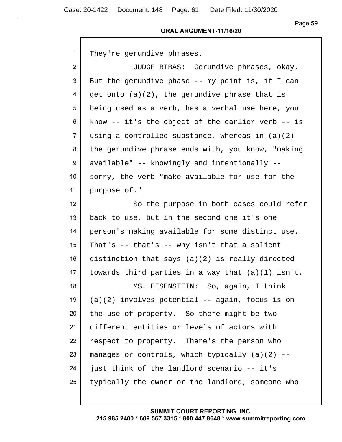#### **ORAL ARGUMENT-11/16/20**

1 They're gerundive phrases.

 JUDGE BIBAS: Gerundive phrases, okay. But the gerundive phase -- my point is, if I can  $4 \mid$  get onto (a)(2), the gerundive phrase that is being used as a verb, has a verbal use here, you know -- it's the object of the earlier verb -- is using a controlled substance, whereas in  $(a)(2)$ 8 the gerundive phrase ends with, you know, "making" 9 available" -- knowingly and intentionally -- sorry, the verb "make available for use for the purpose of."

12 So the purpose in both cases could refer 13 back to use, but in the second one it's one 14 person's making available for some distinct use. 15 | That's  $-$  that's  $-$  why isn't that a salient 16 distinction that says (a)(2) is really directed 17 | towards third parties in a way that  $(a)(1)$  isn't. 18 MS. EISENSTEIN: So, again, I think 19  $(a)(2)$  involves potential -- again, focus is on 20 the use of property. So there might be two 21 different entities or levels of actors with 22 respect to property. There's the person who 23 | manages or controls, which typically  $(a)(2)$  -- $24$  just think of the landlord scenario -- it's 25 typically the owner or the landlord, someone who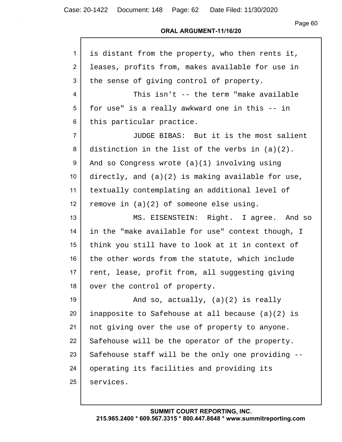| 1               | is distant from the property, who then rents it,   |
|-----------------|----------------------------------------------------|
| $\overline{2}$  | leases, profits from, makes available for use in   |
| 3               | the sense of giving control of property.           |
| 4               | This isn't -- the term "make available             |
| 5               | for use" is a really awkward one in this -- in     |
| 6               | this particular practice.                          |
| $\overline{7}$  | JUDGE BIBAS: But it is the most salient            |
| 8               | distinction in the list of the verbs in $(a)(2)$ . |
| 9               | And so Congress wrote (a)(1) involving using       |
| 10 <sup>°</sup> | directly, and (a)(2) is making available for use,  |
| 11              | textually contemplating an additional level of     |
| 12 <sub>2</sub> | remove in $(a)(2)$ of someone else using.          |
| 13              | MS. EISENSTEIN: Right. I agree. And so             |
| 14              | in the "make available for use" context though, I  |
| 15              | think you still have to look at it in context of   |
| 16              | the other words from the statute, which include    |
| 17 <sub>2</sub> | rent, lease, profit from, all suggesting giving    |
| 18              | over the control of property.                      |
| 19              | And so, actually, $(a)(2)$ is really               |
| 20              | inapposite to Safehouse at all because (a)(2) is   |
| 21              | not giving over the use of property to anyone.     |
| 22              | Safehouse will be the operator of the property.    |
| 23              | Safehouse staff will be the only one providing --  |
| 24              | operating its facilities and providing its         |
| 25              | services.                                          |
|                 |                                                    |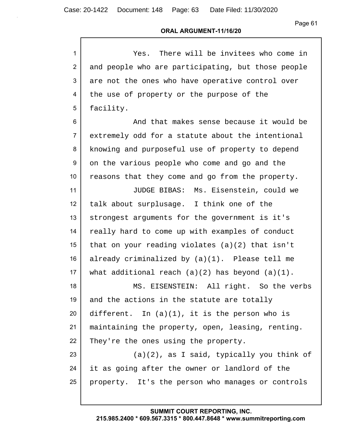Case: 20-1422 Document: 148 Page: 63 Date Filed: 11/30/2020

Page 61

#### **ORAL ARGUMENT-11/16/20**

| $\mathbf{1}$   | Yes. There will be invitees who come in              |
|----------------|------------------------------------------------------|
| $\overline{2}$ | and people who are participating, but those people   |
| 3              | are not the ones who have operative control over     |
| 4              | the use of property or the purpose of the            |
| 5              | facility.                                            |
| 6              | And that makes sense because it would be             |
| $\overline{7}$ | extremely odd for a statute about the intentional    |
| 8              | knowing and purposeful use of property to depend     |
| 9              | on the various people who come and go and the        |
| 10             | reasons that they come and go from the property.     |
| 11             | JUDGE BIBAS: Ms. Eisenstein, could we                |
| 12             | talk about surplusage. I think one of the            |
| 13             | strongest arguments for the government is it's       |
| 14             | really hard to come up with examples of conduct      |
| 15             | that on your reading violates $(a)(2)$ that isn't    |
| 16             | already criminalized by (a)(1). Please tell me       |
| 17             | what additional reach $(a)(2)$ has beyond $(a)(1)$ . |
| 18             | MS. EISENSTEIN: All right. So the verbs              |
| 19             | and the actions in the statute are totally           |
| 20             | different. In $(a)(1)$ , it is the person who is     |
| 21             | maintaining the property, open, leasing, renting.    |
| 22             | They're the ones using the property.                 |
| 23             | (a)(2), as I said, typically you think of            |
| 24             | it as going after the owner or landlord of the       |
| 25             | property. It's the person who manages or controls    |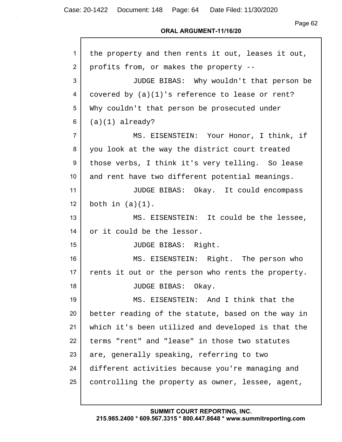Page 62

#### **ORAL ARGUMENT-11/16/20**

| 1               | the property and then rents it out, leases it out, |
|-----------------|----------------------------------------------------|
| 2               | profits from, or makes the property --             |
| 3               | JUDGE BIBAS: Why wouldn't that person be           |
| 4               | covered by (a)(1)'s reference to lease or rent?    |
| 5               | Why couldn't that person be prosecuted under       |
| 6               | $(a)(1)$ already?                                  |
| $\overline{7}$  | MS. EISENSTEIN: Your Honor, I think, if            |
| 8               | you look at the way the district court treated     |
| 9               | those verbs, I think it's very telling. So lease   |
| 10 <sup>1</sup> | and rent have two different potential meanings.    |
| 11              | JUDGE BIBAS: Okay. It could encompass              |
| 12 <sup>2</sup> | both in $(a)(1)$ .                                 |
| 13              | MS. EISENSTEIN: It could be the lessee,            |
| 14              | or it could be the lessor.                         |
| 15              | JUDGE BIBAS: Right.                                |
| 16              | MS. EISENSTEIN: Right. The person who              |
| 17              | rents it out or the person who rents the property. |
| 18              | JUDGE BIBAS: Okay.                                 |
| 19              | MS. EISENSTEIN: And I think that the               |
| 20              | better reading of the statute, based on the way in |
| 21              | which it's been utilized and developed is that the |
| 22              | terms "rent" and "lease" in those two statutes     |
| 23              | are, generally speaking, referring to two          |
| 24              | different activities because you're managing and   |
| 25              | controlling the property as owner, lessee, agent,  |
|                 |                                                    |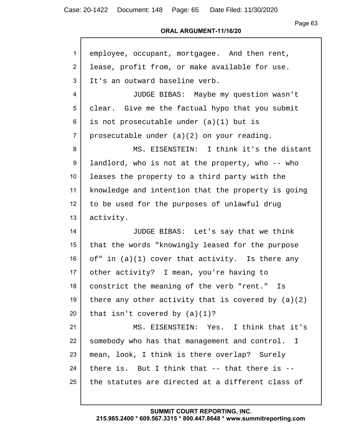#### **ORAL ARGUMENT-11/16/20**

| $\mathbf{1}$    | employee, occupant, mortgagee. And then rent,        |
|-----------------|------------------------------------------------------|
| $\overline{2}$  | lease, profit from, or make available for use.       |
| 3               | It's an outward baseline verb.                       |
| 4               | JUDGE BIBAS: Maybe my question wasn't                |
| 5               | clear. Give me the factual hypo that you submit      |
| 6               | is not prosecutable under (a)(1) but is              |
| $\overline{7}$  | prosecutable under (a)(2) on your reading.           |
| 8               | MS. EISENSTEIN: I think it's the distant             |
| 9               | landlord, who is not at the property, who -- who     |
| 10 <sup>°</sup> | leases the property to a third party with the        |
| 11              | knowledge and intention that the property is going   |
| 12 <sup>2</sup> | to be used for the purposes of unlawful drug         |
| 13              | activity.                                            |
| 14              | JUDGE BIBAS: Let's say that we think                 |
| 15 <sub>1</sub> | that the words "knowingly leased for the purpose     |
| 16              | of" in $(a)(1)$ cover that activity. Is there any    |
| 17 <sub>2</sub> | other activity? I mean, you're having to             |
| 18              | constrict the meaning of the verb "rent." Is         |
| 19              | there any other activity that is covered by $(a)(2)$ |
| 20              | that isn't covered by $(a)(1)$ ?                     |
| 21              | MS. EISENSTEIN: Yes. I think that it's               |
| 22              | somebody who has that management and control. I      |
| 23              | mean, look, I think is there overlap? Surely         |
| 24              | there is. But I think that $--$ that there is $--$   |
| 25              | the statutes are directed at a different class of    |
|                 |                                                      |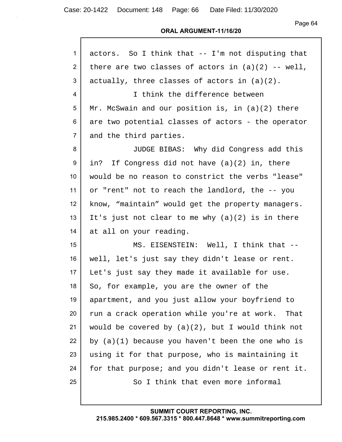Page 64

#### **ORAL ARGUMENT-11/16/20**

| 1               | actors. So I think that -- I'm not disputing that    |
|-----------------|------------------------------------------------------|
| $\overline{2}$  | there are two classes of actors in $(a)(2)$ -- well, |
| 3               | actually, three classes of actors in $(a)(2)$ .      |
| 4               | I think the difference between                       |
| $5\phantom{.0}$ | Mr. McSwain and our position is, in $(a)(2)$ there   |
| 6               | are two potential classes of actors - the operator   |
| $\overline{7}$  | and the third parties.                               |
| 8               | JUDGE BIBAS: Why did Congress add this               |
| 9               | in? If Congress did not have (a)(2) in, there        |
| 10 <sup>°</sup> | would be no reason to constrict the verbs "lease"    |
| 11              | or "rent" not to reach the landlord, the -- you      |
| 12              | know, "maintain" would get the property managers.    |
| 13              | It's just not clear to me why $(a)(2)$ is in there   |
| 14              | at all on your reading.                              |
| 15              | MS. EISENSTEIN: Well, I think that --                |
| 16              | well, let's just say they didn't lease or rent.      |
| 17              | Let's just say they made it available for use.       |
| 18              | So, for example, you are the owner of the            |
| 19              | apartment, and you just allow your boyfriend to      |
| 20              | run a crack operation while you're at work. That     |
| 21              | would be covered by $(a)(2)$ , but I would think not |
| 22              | by $(a)(1)$ because you haven't been the one who is  |
| 23              | using it for that purpose, who is maintaining it     |
| 24              | for that purpose; and you didn't lease or rent it.   |
| 25              | So I think that even more informal                   |
|                 |                                                      |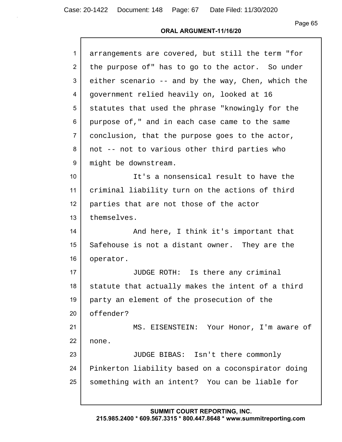#### **ORAL ARGUMENT-11/16/20**

| $\mathbf{1}$   | arrangements are covered, but still the term "for  |
|----------------|----------------------------------------------------|
| $\overline{2}$ | the purpose of" has to go to the actor. So under   |
| 3              | either scenario -- and by the way, Chen, which the |
| 4              | government relied heavily on, looked at 16         |
| 5              | statutes that used the phrase "knowingly for the   |
| 6              | purpose of," and in each case came to the same     |
| $\overline{7}$ | conclusion, that the purpose goes to the actor,    |
| 8              | not -- not to various other third parties who      |
| 9              | might be downstream.                               |
| 10             | It's a nonsensical result to have the              |
| 11             | criminal liability turn on the actions of third    |
| 12             | parties that are not those of the actor            |
| 13             | themselves.                                        |
| 14             | And here, I think it's important that              |
| 15             | Safehouse is not a distant owner. They are the     |
| 16             | operator.                                          |
| 17             | JUDGE ROTH: Is there any criminal                  |
| 18             | statute that actually makes the intent of a third  |
| 19             | party an element of the prosecution of the         |
| 20             | offender?                                          |
| 21             | MS. EISENSTEIN: Your Honor, I'm aware of           |
| 22             | none.                                              |
| 23             | JUDGE BIBAS: Isn't there commonly                  |
| 24             | Pinkerton liability based on a coconspirator doing |
| 25             | something with an intent? You can be liable for    |
|                |                                                    |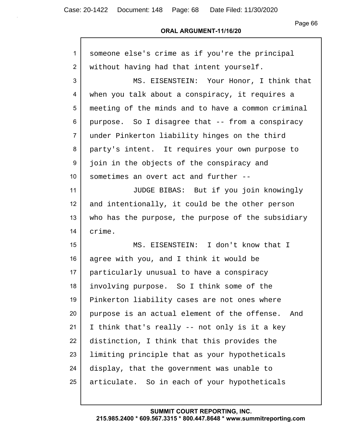### **ORAL ARGUMENT-11/16/20**

| $\mathbf{1}$    | someone else's crime as if you're the principal    |
|-----------------|----------------------------------------------------|
| 2               | without having had that intent yourself.           |
| 3               | MS. EISENSTEIN: Your Honor, I think that           |
| 4               | when you talk about a conspiracy, it requires a    |
| 5               | meeting of the minds and to have a common criminal |
| 6               | purpose. So I disagree that -- from a conspiracy   |
| $\overline{7}$  | under Pinkerton liability hinges on the third      |
| 8               | party's intent. It requires your own purpose to    |
| 9               | join in the objects of the conspiracy and          |
| 10 <sup>°</sup> | sometimes an overt act and further --              |
| 11              | JUDGE BIBAS: But if you join knowingly             |
| 12 <sub>2</sub> | and intentionally, it could be the other person    |
| 13              | who has the purpose, the purpose of the subsidiary |
| 14              | crime.                                             |
| 15              | MS. EISENSTEIN: I don't know that I                |
| 16              | agree with you, and I think it would be            |
| 17              | particularly unusual to have a conspiracy          |
| 18              | involving purpose. So I think some of the          |
| 19              | Pinkerton liability cases are not ones where       |
| 20              | purpose is an actual element of the offense. And   |
| 21              | I think that's really -- not only is it a key      |
| 22              | distinction, I think that this provides the        |
| 23              | limiting principle that as your hypotheticals      |
| 24              | display, that the government was unable to         |
| 25              | articulate. So in each of your hypotheticals       |
|                 |                                                    |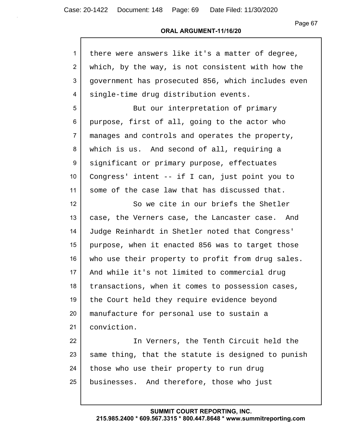| $\mathbf{1}$   | there were answers like it's a matter of degree,   |
|----------------|----------------------------------------------------|
| $\overline{2}$ | which, by the way, is not consistent with how the  |
| 3              | government has prosecuted 856, which includes even |
| 4              | single-time drug distribution events.              |
| 5              | But our interpretation of primary                  |
| 6              | purpose, first of all, going to the actor who      |
| $\overline{7}$ | manages and controls and operates the property,    |
| 8              | which is us. And second of all, requiring a        |
| 9              | significant or primary purpose, effectuates        |
| 10             | Congress' intent -- if I can, just point you to    |
| 11             | some of the case law that has discussed that.      |
| 12             | So we cite in our briefs the Shetler               |
| 13             | case, the Verners case, the Lancaster case. And    |
| 14             | Judge Reinhardt in Shetler noted that Congress'    |
| 15             | purpose, when it enacted 856 was to target those   |
| 16             | who use their property to profit from drug sales.  |
| 17             | And while it's not limited to commercial drug      |
| 18             | transactions, when it comes to possession cases,   |
| 19             | the Court held they require evidence beyond        |
| 20             | manufacture for personal use to sustain a          |
| 21             | conviction.                                        |
| 22             | In Verners, the Tenth Circuit held the             |
| 23             | same thing, that the statute is designed to punish |
| 24             | those who use their property to run drug           |
| 25             | businesses. And therefore, those who just          |
|                |                                                    |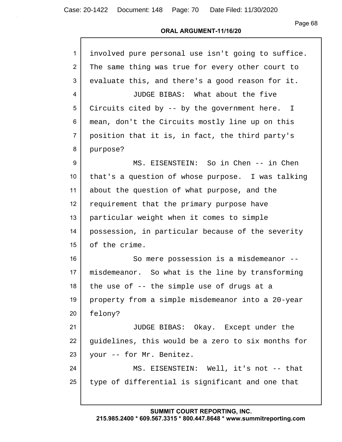#### **ORAL ARGUMENT-11/16/20**

| $\mathbf{1}$    | involved pure personal use isn't going to suffice. |
|-----------------|----------------------------------------------------|
| $\overline{2}$  | The same thing was true for every other court to   |
| 3               | evaluate this, and there's a good reason for it.   |
| 4               | JUDGE BIBAS: What about the five                   |
| 5               | Circuits cited by -- by the government here. I     |
| 6               | mean, don't the Circuits mostly line up on this    |
| $\overline{7}$  | position that it is, in fact, the third party's    |
| 8               | purpose?                                           |
| 9               | MS. EISENSTEIN: So in Chen -- in Chen              |
| 10 <sup>°</sup> | that's a question of whose purpose. I was talking  |
| 11              | about the question of what purpose, and the        |
| 12              | requirement that the primary purpose have          |
| 13              | particular weight when it comes to simple          |
| 14              | possession, in particular because of the severity  |
| 15              | of the crime.                                      |
| 16              | So mere possession is a misdemeanor --             |
| 17              | misdemeanor. So what is the line by transforming   |
| 18              | the use of -- the simple use of drugs at a         |
| 19              | property from a simple misdemeanor into a 20-year  |
| 20              | felony?                                            |
| 21              | JUDGE BIBAS: Okay. Except under the                |
| 22              | guidelines, this would be a zero to six months for |
| 23              | your -- for Mr. Benitez.                           |
| 24              | MS. EISENSTEIN: Well, it's not -- that             |
| 25              | type of differential is significant and one that   |
|                 |                                                    |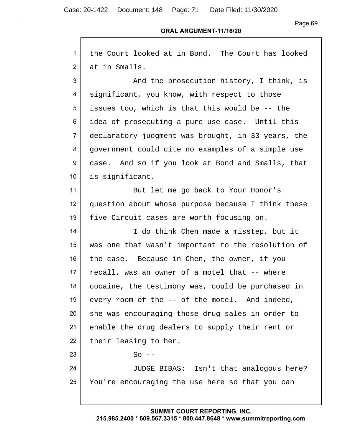#### **ORAL ARGUMENT-11/16/20**

| $\mathbf{1}$   | the Court looked at in Bond. The Court has looked  |
|----------------|----------------------------------------------------|
| $\overline{2}$ | at in Smalls.                                      |
| 3              | And the prosecution history, I think, is           |
| 4              | significant, you know, with respect to those       |
| 5              | issues too, which is that this would be -- the     |
| 6              | idea of prosecuting a pure use case. Until this    |
| $\overline{7}$ | declaratory judgment was brought, in 33 years, the |
| 8              | government could cite no examples of a simple use  |
| 9              | case. And so if you look at Bond and Smalls, that  |
| 10             | is significant.                                    |
| 11             | But let me go back to Your Honor's                 |
| 12             | question about whose purpose because I think these |
| 13             | five Circuit cases are worth focusing on.          |
| 14             | I do think Chen made a misstep, but it             |
| 15             | was one that wasn't important to the resolution of |
| 16             | the case. Because in Chen, the owner, if you       |
| 17             | recall, was an owner of a motel that -- where      |
| 18             | cocaine, the testimony was, could be purchased in  |
| 19             | every room of the -- of the motel. And indeed,     |
| 20             | she was encouraging those drug sales in order to   |
| 21             | enable the drug dealers to supply their rent or    |
| 22             | their leasing to her.                              |
| 23             | $So$ --                                            |
| 24             | JUDGE BIBAS: Isn't that analogous here?            |
| 25             | You're encouraging the use here so that you can    |
|                |                                                    |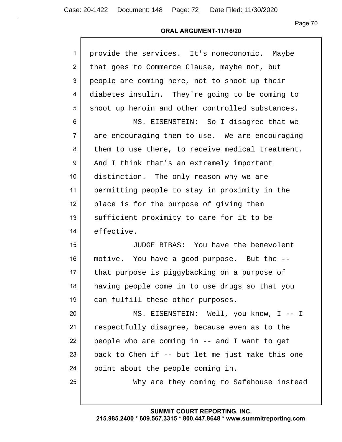#### **ORAL ARGUMENT-11/16/20**

| $\mathbf{1}$   | provide the services. It's noneconomic. Maybe    |
|----------------|--------------------------------------------------|
| $\overline{2}$ | that goes to Commerce Clause, maybe not, but     |
| 3              | people are coming here, not to shoot up their    |
| 4              | diabetes insulin. They're going to be coming to  |
| 5              | shoot up heroin and other controlled substances. |
| 6              | MS. EISENSTEIN: So I disagree that we            |
| $\overline{7}$ | are encouraging them to use. We are encouraging  |
| 8              | them to use there, to receive medical treatment. |
| 9              | And I think that's an extremely important        |
| 10             | distinction. The only reason why we are          |
| 11             | permitting people to stay in proximity in the    |
| 12             | place is for the purpose of giving them          |
| 13             | sufficient proximity to care for it to be        |
| 14             | effective.                                       |
| 15             | JUDGE BIBAS: You have the benevolent             |
| 16             | motive. You have a good purpose. But the --      |
| 17             | that purpose is piggybacking on a purpose of     |
| 18             | having people come in to use drugs so that you   |
| 19             | can fulfill these other purposes.                |
| 20             | MS. EISENSTEIN: Well, you know, I -- I           |
| 21             | respectfully disagree, because even as to the    |
| 22             | people who are coming in -- and I want to get    |
| 23             | back to Chen if -- but let me just make this one |
| 24             | point about the people coming in.                |
| 25             | Why are they coming to Safehouse instead         |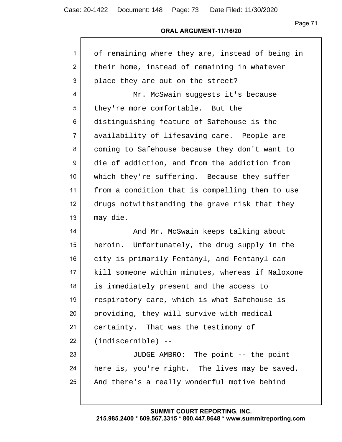### **ORAL ARGUMENT-11/16/20**

| 1               | of remaining where they are, instead of being in |
|-----------------|--------------------------------------------------|
| $\overline{2}$  | their home, instead of remaining in whatever     |
| 3               | place they are out on the street?                |
| 4               | Mr. McSwain suggests it's because                |
| 5               | they're more comfortable. But the                |
| 6               | distinguishing feature of Safehouse is the       |
| $\overline{7}$  | availability of lifesaving care. People are      |
| 8               | coming to Safehouse because they don't want to   |
| 9               | die of addiction, and from the addiction from    |
| 10 <sup>°</sup> | which they're suffering. Because they suffer     |
| 11              | from a condition that is compelling them to use  |
| 12              | drugs notwithstanding the grave risk that they   |
| 13              | may die.                                         |
|                 |                                                  |
| 14              | And Mr. McSwain keeps talking about              |
| 15              | heroin. Unfortunately, the drug supply in the    |
| 16              | city is primarily Fentanyl, and Fentanyl can     |
| 17              | kill someone within minutes, whereas if Naloxone |
| 18              | is immediately present and the access to         |
| 19              | respiratory care, which is what Safehouse is     |
| 20              | providing, they will survive with medical        |
| 21              | certainty. That was the testimony of             |
| 22              | $(indiscernible)$ --                             |
| 23              | JUDGE AMBRO: The point -- the point              |
| 24              | here is, you're right. The lives may be saved.   |
| 25              | And there's a really wonderful motive behind     |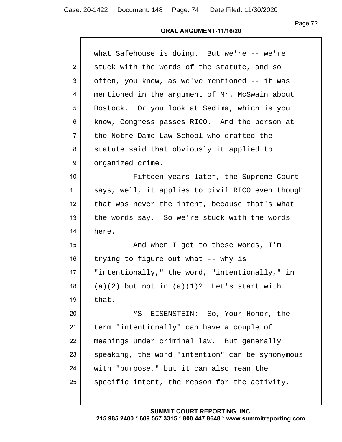| $\mathbf{1}$    | what Safehouse is doing. But we're -- we're      |
|-----------------|--------------------------------------------------|
| $\overline{2}$  | stuck with the words of the statute, and so      |
| 3               | often, you know, as we've mentioned -- it was    |
| 4               | mentioned in the argument of Mr. McSwain about   |
| 5               | Bostock. Or you look at Sedima, which is you     |
| 6               | know, Congress passes RICO. And the person at    |
| $\overline{7}$  | the Notre Dame Law School who drafted the        |
| 8               | statute said that obviously it applied to        |
| 9               | organized crime.                                 |
| 10 <sup>1</sup> | Fifteen years later, the Supreme Court           |
| 11              | says, well, it applies to civil RICO even though |
| 12              | that was never the intent, because that's what   |
| 13              | the words say. So we're stuck with the words     |
| 14              | here.                                            |
| 15              | And when I get to these words, I'm               |
| 16              | trying to figure out what -- why is              |
| 17              | "intentionally," the word, "intentionally," in   |
| 18              | $(a)(2)$ but not in $(a)(1)$ ? Let's start with  |
| 19              | that.                                            |
| 20              | MS. EISENSTEIN: So, Your Honor, the              |
| 21              | term "intentionally" can have a couple of        |
| 22              | meanings under criminal law. But generally       |
| 23              | speaking, the word "intention" can be synonymous |
| 24              | with "purpose," but it can also mean the         |
| 25              | specific intent, the reason for the activity.    |
|                 |                                                  |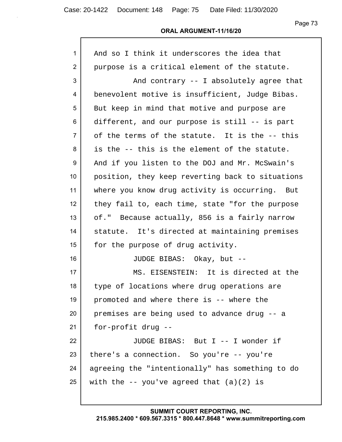#### **ORAL ARGUMENT-11/16/20**

| $\mathbf{1}$   | And so I think it underscores the idea that      |
|----------------|--------------------------------------------------|
| $\overline{2}$ | purpose is a critical element of the statute.    |
| 3              | And contrary -- I absolutely agree that          |
| 4              | benevolent motive is insufficient, Judge Bibas.  |
| 5              | But keep in mind that motive and purpose are     |
| 6              | different, and our purpose is still -- is part   |
| $\overline{7}$ | of the terms of the statute. It is the -- this   |
| 8              | is the -- this is the element of the statute.    |
| 9              | And if you listen to the DOJ and Mr. McSwain's   |
| 10             | position, they keep reverting back to situations |
| 11             | where you know drug activity is occurring. But   |
| 12             | they fail to, each time, state "for the purpose  |
| 13             | of." Because actually, 856 is a fairly narrow    |
| 14             | statute. It's directed at maintaining premises   |
| 15             | for the purpose of drug activity.                |
| 16             | JUDGE BIBAS: Okay, but --                        |
| 17             | MS. EISENSTEIN: It is directed at the            |
| 18             | type of locations where drug operations are      |
| 19             | promoted and where there is -- where the         |
| 20             | premises are being used to advance drug -- a     |
| 21             | for-profit drug --                               |
| 22             | JUDGE BIBAS: But I -- I wonder if                |
| 23             | there's a connection. So you're -- you're        |
| 24             | agreeing the "intentionally" has something to do |
| 25             | with the $-$ you've agreed that $(a)(2)$ is      |
|                |                                                  |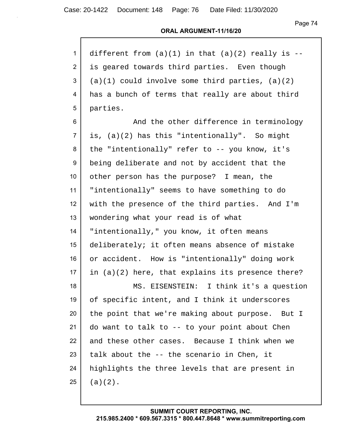| $\mathbf{1}$    | different from $(a)(1)$ in that $(a)(2)$ really is -- |
|-----------------|-------------------------------------------------------|
| $\overline{2}$  | is geared towards third parties. Even though          |
| 3               | $(a)(1)$ could involve some third parties, $(a)(2)$   |
| 4               | has a bunch of terms that really are about third      |
| 5               | parties.                                              |
| 6               | And the other difference in terminology               |
| $\overline{7}$  | is, (a)(2) has this "intentionally". So might         |
| 8               | the "intentionally" refer to -- you know, it's        |
| 9               | being deliberate and not by accident that the         |
| 10              | other person has the purpose? I mean, the             |
| 11              | "intentionally" seems to have something to do         |
| 12 <sub>2</sub> | with the presence of the third parties. And I'm       |
| 13              | wondering what your read is of what                   |
| 14              | "intentionally," you know, it often means             |
| 15 <sub>1</sub> | deliberately; it often means absence of mistake       |
| 16              | or accident. How is "intentionally" doing work        |
| 17              | in $(a)(2)$ here, that explains its presence there?   |
| 18              | MS. EISENSTEIN:<br>I think it's a question            |
| 19              | of specific intent, and I think it underscores        |
| 20              | the point that we're making about purpose. But I      |
| 21              | do want to talk to -- to your point about Chen        |
| 22              | and these other cases. Because I think when we        |
| 23              | talk about the -- the scenario in Chen, it            |
| 24              | highlights the three levels that are present in       |
| 25              | $(a)(2)$ .                                            |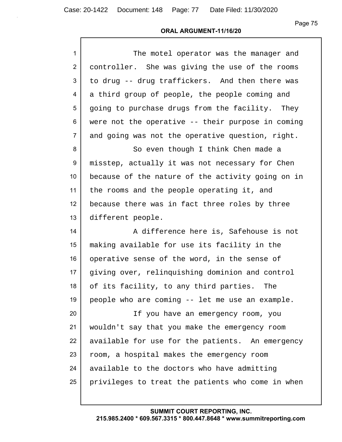### **ORAL ARGUMENT-11/16/20**

| $\mathbf{1}$    | The motel operator was the manager and            |
|-----------------|---------------------------------------------------|
| $\overline{2}$  | controller. She was giving the use of the rooms   |
| 3               | to drug -- drug traffickers. And then there was   |
| 4               | a third group of people, the people coming and    |
| 5               | going to purchase drugs from the facility. They   |
| 6               | were not the operative -- their purpose in coming |
| $\overline{7}$  | and going was not the operative question, right.  |
| 8               | So even though I think Chen made a                |
| 9               | misstep, actually it was not necessary for Chen   |
| 10 <sup>1</sup> | because of the nature of the activity going on in |
| 11              | the rooms and the people operating it, and        |
| 12              | because there was in fact three roles by three    |
| 13              | different people.                                 |
| 14              | A difference here is, Safehouse is not            |
| 15              | making available for use its facility in the      |
| 16              | operative sense of the word, in the sense of      |
| 17              | giving over, relinquishing dominion and control   |
| 18              | of its facility, to any third parties.<br>The     |
| 19              | people who are coming -- let me use an example.   |
| 20              | If you have an emergency room, you                |
| 21              | wouldn't say that you make the emergency room     |
| 22              | available for use for the patients. An emergency  |
| 23              | room, a hospital makes the emergency room         |
| 24              | available to the doctors who have admitting       |
| 25              | privileges to treat the patients who come in when |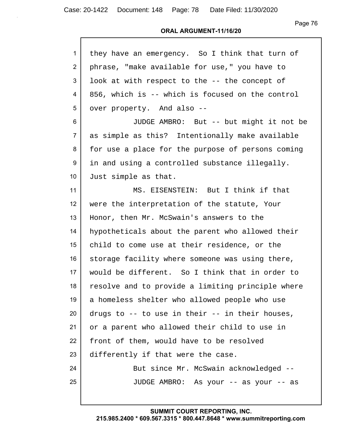#### **ORAL ARGUMENT-11/16/20**

| $\mathbf{1}$    | they have an emergency. So I think that turn of   |
|-----------------|---------------------------------------------------|
| $\overline{2}$  | phrase, "make available for use," you have to     |
| 3               | look at with respect to the -- the concept of     |
| 4               | 856, which is -- which is focused on the control  |
| 5               | over property. And also --                        |
| 6               | JUDGE AMBRO: But -- but might it not be           |
| $\overline{7}$  | as simple as this? Intentionally make available   |
| 8               | for use a place for the purpose of persons coming |
| 9               | in and using a controlled substance illegally.    |
| 10 <sup>°</sup> | Just simple as that.                              |
| 11              | MS. EISENSTEIN: But I think if that               |
| 12              | were the interpretation of the statute, Your      |
| 13              | Honor, then Mr. McSwain's answers to the          |
| 14              | hypotheticals about the parent who allowed their  |
| 15              | child to come use at their residence, or the      |
| 16              | storage facility where someone was using there,   |
| 17              | would be different. So I think that in order to   |
| 18              | resolve and to provide a limiting principle where |
| 19              | a homeless shelter who allowed people who use     |
| 20              | drugs to -- to use in their -- in their houses,   |
| 21              | or a parent who allowed their child to use in     |
| 22              | front of them, would have to be resolved          |
| 23              | differently if that were the case.                |
| 24              | But since Mr. McSwain acknowledged --             |
| 25              | JUDGE AMBRO: As your -- as your -- as             |
|                 |                                                   |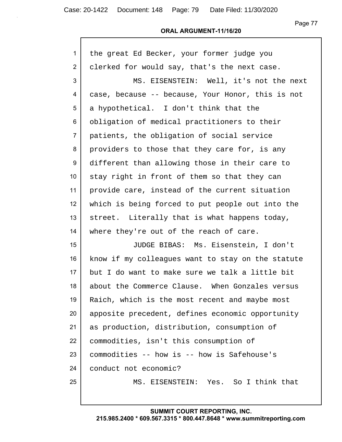| 1              | the great Ed Becker, your former judge you        |
|----------------|---------------------------------------------------|
| $\overline{2}$ | clerked for would say, that's the next case.      |
| 3              | MS. EISENSTEIN: Well, it's not the next           |
| 4              | case, because -- because, Your Honor, this is not |
| 5              | a hypothetical. I don't think that the            |
| 6              | obligation of medical practitioners to their      |
| $\overline{7}$ | patients, the obligation of social service        |
| 8              | providers to those that they care for, is any     |
| 9              | different than allowing those in their care to    |
| 10             | stay right in front of them so that they can      |
| 11             | provide care, instead of the current situation    |
| 12             | which is being forced to put people out into the  |
| 13             | street. Literally that is what happens today,     |
| 14             | where they're out of the reach of care.           |
| 15             | JUDGE BIBAS: Ms. Eisenstein, I don't              |
| 16             | know if my colleagues want to stay on the statute |
| 17             | but I do want to make sure we talk a little bit   |
| 18             | about the Commerce Clause. When Gonzales versus   |
| 19             | Raich, which is the most recent and maybe most    |
| 20             | apposite precedent, defines economic opportunity  |
| 21             | as production, distribution, consumption of       |
| 22             | commodities, isn't this consumption of            |
| 23             | commodities -- how is -- how is Safehouse's       |
| 24             | conduct not economic?                             |
| 25             | MS. EISENSTEIN: Yes. So I think that              |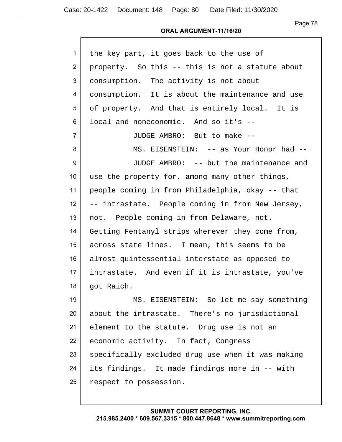| 1              | the key part, it goes back to the use of          |
|----------------|---------------------------------------------------|
| $\overline{2}$ | property. So this -- this is not a statute about  |
| 3              | consumption. The activity is not about            |
| 4              | consumption. It is about the maintenance and use  |
| 5              | of property. And that is entirely local. It is    |
| 6              | local and noneconomic. And so it's --             |
| $\overline{7}$ | JUDGE AMBRO: But to make --                       |
| 8              | MS. EISENSTEIN: -- as Your Honor had --           |
| 9              | JUDGE AMBRO: -- but the maintenance and           |
| 10             | use the property for, among many other things,    |
| 11             | people coming in from Philadelphia, okay -- that  |
| 12             | -- intrastate. People coming in from New Jersey,  |
| 13             | not. People coming in from Delaware, not.         |
| 14             | Getting Fentanyl strips wherever they come from,  |
| 15             | across state lines. I mean, this seems to be      |
| 16             | almost quintessential interstate as opposed to    |
| 17             | intrastate. And even if it is intrastate, you've  |
| 18             | got Raich.                                        |
| 19             | MS. EISENSTEIN: So let me say something           |
| 20             | about the intrastate. There's no jurisdictional   |
| 21             | element to the statute. Drug use is not an        |
| 22             | economic activity. In fact, Congress              |
| 23             | specifically excluded drug use when it was making |
| 24             | its findings. It made findings more in -- with    |
| 25             | respect to possession.                            |
|                |                                                   |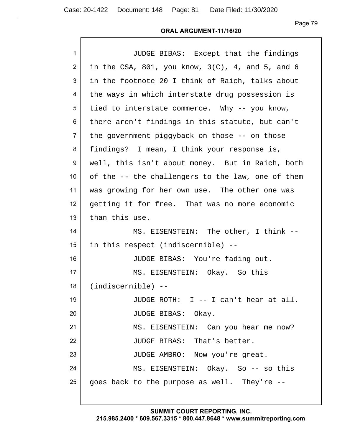### **ORAL ARGUMENT-11/16/20**

| $\mathbf{1}$   | JUDGE BIBAS: Except that the findings               |
|----------------|-----------------------------------------------------|
| $\overline{2}$ | in the CSA, 801, you know, $3(C)$ , 4, and 5, and 6 |
| 3              | in the footnote 20 I think of Raich, talks about    |
| 4              | the ways in which interstate drug possession is     |
| 5              | tied to interstate commerce. Why -- you know,       |
| 6              | there aren't findings in this statute, but can't    |
| $\overline{7}$ | the government piggyback on those -- on those       |
| 8              | findings? I mean, I think your response is,         |
| 9              | well, this isn't about money. But in Raich, both    |
| 10             | of the -- the challengers to the law, one of them   |
| 11             | was growing for her own use. The other one was      |
| 12             | getting it for free. That was no more economic      |
| 13             | than this use.                                      |
| 14             | MS. EISENSTEIN: The other, I think --               |
| 15             | in this respect (indiscernible) --                  |
| 16             | JUDGE BIBAS: You're fading out.                     |
| 17             | MS. EISENSTEIN: Okay. So this                       |
| 18             | $(indiscernible)$ --                                |
| 19             | JUDGE ROTH: I -- I can't hear at all.               |
| 20             | JUDGE BIBAS: Okay.                                  |
| 21             | MS. EISENSTEIN: Can you hear me now?                |
| 22             | JUDGE BIBAS: That's better.                         |
| 23             | JUDGE AMBRO: Now you're great.                      |
| 24             | MS. EISENSTEIN: Okay. So -- so this                 |
| 25             | goes back to the purpose as well. They're --        |
|                |                                                     |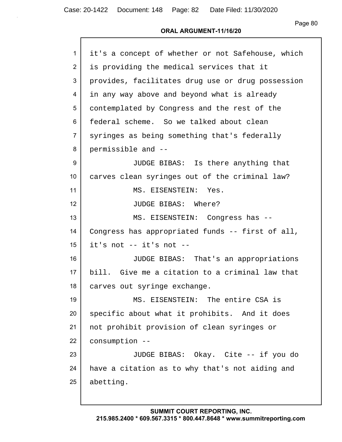| 1               | it's a concept of whether or not Safehouse, which |
|-----------------|---------------------------------------------------|
| $\overline{2}$  | is providing the medical services that it         |
| 3               | provides, facilitates drug use or drug possession |
| 4               | in any way above and beyond what is already       |
| 5               | contemplated by Congress and the rest of the      |
| 6               | federal scheme. So we talked about clean          |
| $\overline{7}$  | syringes as being something that's federally      |
| 8               | permissible and --                                |
| 9               | JUDGE BIBAS: Is there anything that               |
| 10 <sup>°</sup> | carves clean syringes out of the criminal law?    |
| 11              | MS. EISENSTEIN: Yes.                              |
| 12              | JUDGE BIBAS: Where?                               |
| 13              | MS. EISENSTEIN: Congress has --                   |
| 14              | Congress has appropriated funds -- first of all,  |
| 15              | it's not -- it's not --                           |
| 16              | JUDGE BIBAS: That's an appropriations             |
| 17              | bill. Give me a citation to a criminal law that   |
| 18              | carves out syringe exchange.                      |
| 19              | MS. EISENSTEIN: The entire CSA is                 |
| 20              | specific about what it prohibits. And it does     |
| 21              | not prohibit provision of clean syringes or       |
| 22              | consumption --                                    |
| 23              | JUDGE BIBAS: Okay. Cite -- if you do              |
| 24              | have a citation as to why that's not aiding and   |
| 25              | abetting.                                         |
|                 |                                                   |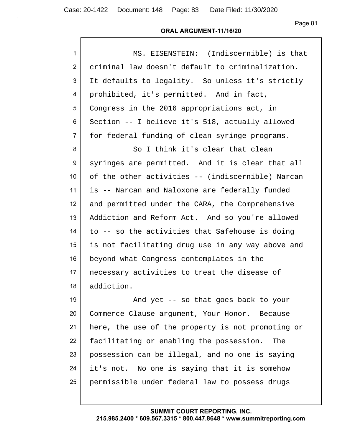| $\mathbf{1}$    | MS. EISENSTEIN: (Indiscernible) is that           |
|-----------------|---------------------------------------------------|
| $\overline{2}$  | criminal law doesn't default to criminalization.  |
| 3               | It defaults to legality. So unless it's strictly  |
| 4               | prohibited, it's permitted. And in fact,          |
| 5               | Congress in the 2016 appropriations act, in       |
| 6               | Section -- I believe it's 518, actually allowed   |
| $\overline{7}$  | for federal funding of clean syringe programs.    |
| 8               | So I think it's clear that clean                  |
| 9               | syringes are permitted. And it is clear that all  |
| 10 <sup>°</sup> | of the other activities -- (indiscernible) Narcan |
| 11              | is -- Narcan and Naloxone are federally funded    |
| 12              | and permitted under the CARA, the Comprehensive   |
| 13              | Addiction and Reform Act. And so you're allowed   |
| 14              | to -- so the activities that Safehouse is doing   |
| 15              | is not facilitating drug use in any way above and |
| 16              | beyond what Congress contemplates in the          |
| 17              | necessary activities to treat the disease of      |
| 18              | addiction.                                        |
| 19              | And yet -- so that goes back to your              |
| 20              | Commerce Clause argument, Your Honor. Because     |
| 21              | here, the use of the property is not promoting or |
| 22              | facilitating or enabling the possession.<br>The   |
| 23              | possession can be illegal, and no one is saying   |
| 24              | it's not. No one is saying that it is somehow     |
| 25              | permissible under federal law to possess drugs    |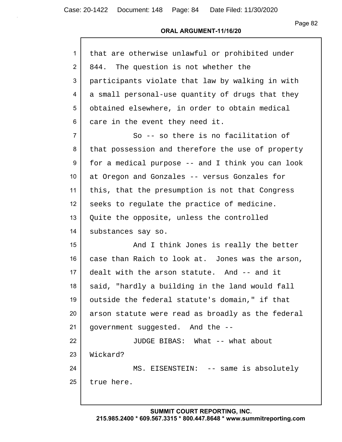| $\mathbf{1}$     | that are otherwise unlawful or prohibited under   |
|------------------|---------------------------------------------------|
| $\overline{2}$   | 844. The question is not whether the              |
| 3                | participants violate that law by walking in with  |
| 4                | a small personal-use quantity of drugs that they  |
| 5                | obtained elsewhere, in order to obtain medical    |
| 6                | care in the event they need it.                   |
| $\overline{7}$   | So -- so there is no facilitation of              |
| 8                | that possession and therefore the use of property |
| 9                | for a medical purpose -- and I think you can look |
| 10 <sup>°</sup>  | at Oregon and Gonzales -- versus Gonzales for     |
| 11               | this, that the presumption is not that Congress   |
| 12 <sup>2</sup>  | seeks to regulate the practice of medicine.       |
| 13               | Quite the opposite, unless the controlled         |
| 14               | substances say so.                                |
| 15 <sub>15</sub> | And I think Jones is really the better            |
| 16               | case than Raich to look at. Jones was the arson,  |
| 17               | dealt with the arson statute. And -- and it       |
| 18               | said, "hardly a building in the land would fall   |
| 19               | outside the federal statute's domain," if that    |
| 20               | arson statute were read as broadly as the federal |
| 21               | government suggested. And the --                  |
| 22               | JUDGE BIBAS: What -- what about                   |
| 23               | Wickard?                                          |
| 24               | MS. EISENSTEIN: -- same is absolutely             |
| 25               | true here.                                        |
|                  |                                                   |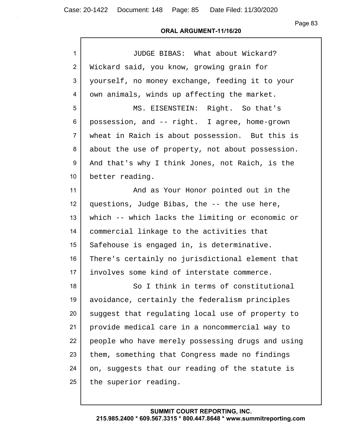| $\mathbf{1}$   | JUDGE BIBAS: What about Wickard?                  |
|----------------|---------------------------------------------------|
| $\overline{2}$ | Wickard said, you know, growing grain for         |
| 3              | yourself, no money exchange, feeding it to your   |
| 4              | own animals, winds up affecting the market.       |
| 5              | MS. EISENSTEIN: Right. So that's                  |
| 6              | possession, and -- right. I agree, home-grown     |
| $\overline{7}$ | wheat in Raich is about possession. But this is   |
| 8              | about the use of property, not about possession.  |
| 9              | And that's why I think Jones, not Raich, is the   |
| 10             | better reading.                                   |
| 11             | And as Your Honor pointed out in the              |
| 12             | questions, Judge Bibas, the -- the use here,      |
| 13             | which -- which lacks the limiting or economic or  |
| 14             | commercial linkage to the activities that         |
| 15             | Safehouse is engaged in, is determinative.        |
| 16             | There's certainly no jurisdictional element that  |
| 17             | involves some kind of interstate commerce.        |
| 18             | So I think in terms of constitutional             |
| 19             | avoidance, certainly the federalism principles    |
| 20             | suggest that regulating local use of property to  |
| 21             | provide medical care in a noncommercial way to    |
| 22             | people who have merely possessing drugs and using |
| 23             | them, something that Congress made no findings    |
| 24             | on, suggests that our reading of the statute is   |
| 25             | the superior reading.                             |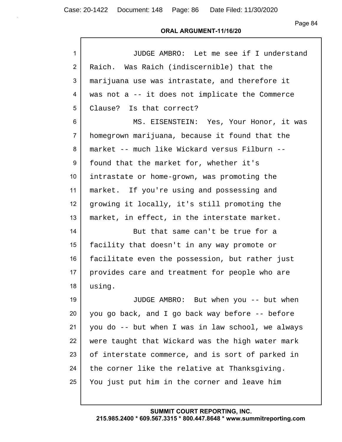| $\mathbf{1}$   | JUDGE AMBRO: Let me see if I understand           |
|----------------|---------------------------------------------------|
| $\overline{2}$ | Raich. Was Raich (indiscernible) that the         |
| 3              | marijuana use was intrastate, and therefore it    |
| 4              | was not a -- it does not implicate the Commerce   |
| 5              | Clause? Is that correct?                          |
| 6              | MS. EISENSTEIN: Yes, Your Honor, it was           |
| $\overline{7}$ | homegrown marijuana, because it found that the    |
| 8              | market -- much like Wickard versus Filburn --     |
| 9              | found that the market for, whether it's           |
| 10             | intrastate or home-grown, was promoting the       |
| 11             | market. If you're using and possessing and        |
| 12             | growing it locally, it's still promoting the      |
| 13             | market, in effect, in the interstate market.      |
| 14             | But that same can't be true for a                 |
| 15             | facility that doesn't in any way promote or       |
| 16             | facilitate even the possession, but rather just   |
| 17             | provides care and treatment for people who are    |
| 18             | using.                                            |
| 19             | JUDGE AMBRO: But when you -- but when             |
| 20             | you go back, and I go back way before -- before   |
| 21             | you do -- but when I was in law school, we always |
| 22             | were taught that Wickard was the high water mark  |
| 23             | of interstate commerce, and is sort of parked in  |
| 24             | the corner like the relative at Thanksgiving.     |
| 25             | You just put him in the corner and leave him      |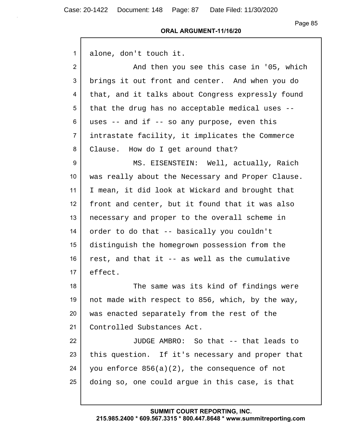| 1               | alone, don't touch it.                            |
|-----------------|---------------------------------------------------|
| $\overline{2}$  | And then you see this case in '05, which          |
| 3               | brings it out front and center. And when you do   |
| 4               | that, and it talks about Congress expressly found |
| 5               | that the drug has no acceptable medical uses --   |
| 6               | uses $-$ and if $-$ so any purpose, even this     |
| $\overline{7}$  | intrastate facility, it implicates the Commerce   |
| 8               | Clause. How do I get around that?                 |
| 9               | MS. EISENSTEIN: Well, actually, Raich             |
| 10 <sup>°</sup> | was really about the Necessary and Proper Clause. |
| 11              | I mean, it did look at Wickard and brought that   |
| 12              | front and center, but it found that it was also   |
| 13              | necessary and proper to the overall scheme in     |
| 14              | order to do that -- basically you couldn't        |
| 15              | distinguish the homegrown possession from the     |
| 16              | rest, and that it -- as well as the cumulative    |
| 17              | effect.                                           |
| 18              | The same was its kind of findings were            |
| 19              | not made with respect to 856, which, by the way,  |
| 20              | was enacted separately from the rest of the       |
| 21              | Controlled Substances Act.                        |
| 22              | JUDGE AMBRO: So that -- that leads to             |
| 23              | this question. If it's necessary and proper that  |
| 24              | you enforce 856(a)(2), the consequence of not     |
| 25              | doing so, one could argue in this case, is that   |
|                 |                                                   |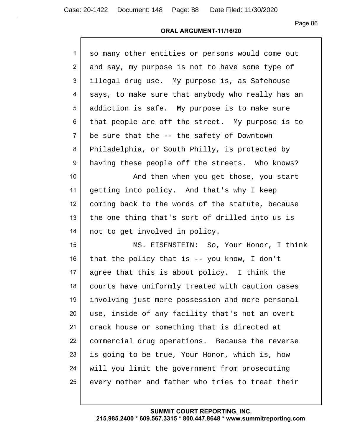| $\mathbf{1}$   | so many other entities or persons would come out  |
|----------------|---------------------------------------------------|
| $\overline{2}$ | and say, my purpose is not to have some type of   |
| 3              | illegal drug use. My purpose is, as Safehouse     |
| 4              | says, to make sure that anybody who really has an |
| 5              | addiction is safe. My purpose is to make sure     |
| 6              | that people are off the street. My purpose is to  |
| $\overline{7}$ | be sure that the -- the safety of Downtown        |
| 8              | Philadelphia, or South Philly, is protected by    |
| 9              | having these people off the streets. Who knows?   |
| 10             | And then when you get those, you start            |
| 11             | getting into policy. And that's why I keep        |
| 12             | coming back to the words of the statute, because  |
| 13             | the one thing that's sort of drilled into us is   |
| 14             | not to get involved in policy.                    |
| 15             | MS. EISENSTEIN: So, Your Honor, I think           |
| 16             | that the policy that is $-$ you know, I don't     |
| 17             | agree that this is about policy. I think the      |
| 18             | courts have uniformly treated with caution cases  |
| 19             | involving just mere possession and mere personal  |
| 20             | use, inside of any facility that's not an overt   |
| 21             | crack house or something that is directed at      |
| 22             | commercial drug operations. Because the reverse   |
| 23             | is going to be true, Your Honor, which is, how    |
| 24             | will you limit the government from prosecuting    |
| 25             | every mother and father who tries to treat their  |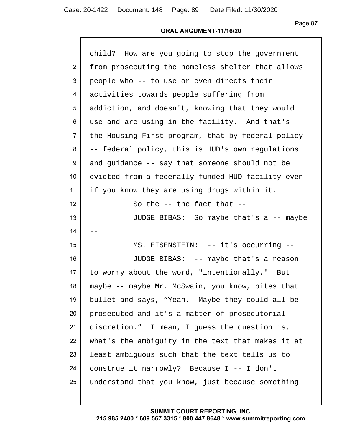#### **ORAL ARGUMENT-11/16/20**

| $\mathbf{1}$    | child? How are you going to stop the government   |
|-----------------|---------------------------------------------------|
| $\overline{2}$  | from prosecuting the homeless shelter that allows |
| 3               | people who -- to use or even directs their        |
| 4               | activities towards people suffering from          |
| 5               | addiction, and doesn't, knowing that they would   |
| 6               | use and are using in the facility. And that's     |
| $\overline{7}$  | the Housing First program, that by federal policy |
| 8               | -- federal policy, this is HUD's own regulations  |
| 9               | and guidance -- say that someone should not be    |
| 10 <sup>°</sup> | evicted from a federally-funded HUD facility even |
| 11              | if you know they are using drugs within it.       |
| 12              | So the $-$ the fact that $-$                      |
| 13              | JUDGE BIBAS: So maybe that's a -- maybe           |
| 14              |                                                   |
| 15              | MS. EISENSTEIN: -- it's occurring --              |
| 16              | JUDGE BIBAS: -- maybe that's a reason             |
| 17              | to worry about the word, "intentionally." But     |
| 18              | maybe -- maybe Mr. McSwain, you know, bites that  |
| 19              | bullet and says, "Yeah. Maybe they could all be   |
| 20              | prosecuted and it's a matter of prosecutorial     |
| 21              | discretion." I mean, I guess the question is,     |
| 22              | what's the ambiguity in the text that makes it at |
| 23              | least ambiguous such that the text tells us to    |
| 24              | construe it narrowly? Because I -- I don't        |
| 25              | understand that you know, just because something  |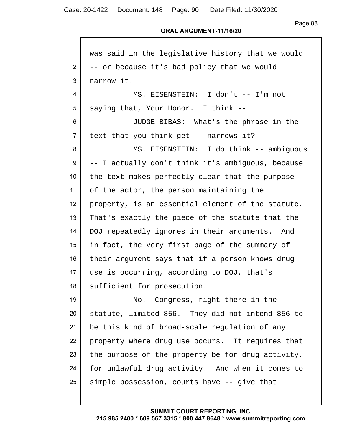| $\mathbf{1}$    | was said in the legislative history that we would |
|-----------------|---------------------------------------------------|
| $\overline{2}$  | -- or because it's bad policy that we would       |
| 3               | narrow it.                                        |
| 4               | MS. EISENSTEIN: I don't -- I'm not                |
| 5               | saying that, Your Honor. I think --               |
| 6               | JUDGE BIBAS: What's the phrase in the             |
| $\overline{7}$  | text that you think get -- narrows it?            |
| 8               | MS. EISENSTEIN: I do think -- ambiguous           |
| 9               | -- I actually don't think it's ambiquous, because |
| 10 <sup>°</sup> | the text makes perfectly clear that the purpose   |
| 11              | of the actor, the person maintaining the          |
| 12              | property, is an essential element of the statute. |
| 13              | That's exactly the piece of the statute that the  |
| 14              | DOJ repeatedly ignores in their arguments. And    |
| 15              | in fact, the very first page of the summary of    |
| 16              | their argument says that if a person knows drug   |
| 17              | use is occurring, according to DOJ, that's        |
| 18              | sufficient for prosecution.                       |
| 19              | Congress, right there in the<br>No.               |
| 20              | statute, limited 856. They did not intend 856 to  |
| 21              | be this kind of broad-scale regulation of any     |
| 22              | property where drug use occurs. It requires that  |
| 23              | the purpose of the property be for drug activity, |
| 24              | for unlawful drug activity. And when it comes to  |
| 25              | simple possession, courts have -- give that       |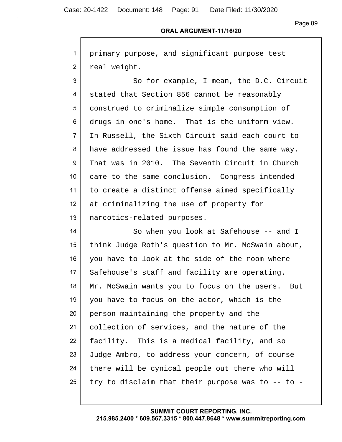Case: 20-1422 Document: 148 Page: 91 Date Filed: 11/30/2020

Г

Page 89

#### **ORAL ARGUMENT-11/16/20**

| $\mathbf{1}$    | primary purpose, and significant purpose test       |
|-----------------|-----------------------------------------------------|
| $\overline{2}$  | real weight.                                        |
| 3               | So for example, I mean, the D.C. Circuit            |
| 4               | stated that Section 856 cannot be reasonably        |
| 5               | construed to criminalize simple consumption of      |
| 6               | drugs in one's home. That is the uniform view.      |
| $\overline{7}$  | In Russell, the Sixth Circuit said each court to    |
| 8               | have addressed the issue has found the same way.    |
| 9               | That was in 2010. The Seventh Circuit in Church     |
| 10 <sup>°</sup> | came to the same conclusion. Congress intended      |
| 11              | to create a distinct offense aimed specifically     |
| 12              | at criminalizing the use of property for            |
| 13              | narcotics-related purposes.                         |
| 14              | So when you look at Safehouse -- and I              |
| 15              | think Judge Roth's question to Mr. McSwain about,   |
| 16              | you have to look at the side of the room where      |
| 17              | Safehouse's staff and facility are operating.       |
| 18              | Mr. McSwain wants you to focus on the users.<br>But |
| 19              | you have to focus on the actor, which is the        |
| 20              | person maintaining the property and the             |
| 21              | collection of services, and the nature of the       |
| 22              | facility. This is a medical facility, and so        |
| 23              | Judge Ambro, to address your concern, of course     |
| 24              | there will be cynical people out there who will     |
| 25              | try to disclaim that their purpose was to -- to -   |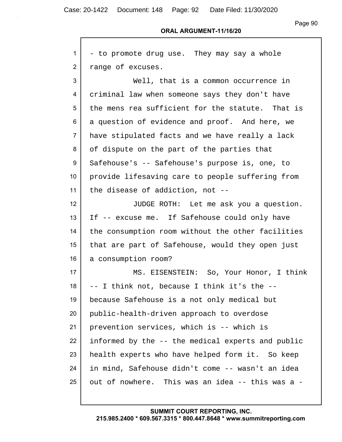Г

Page 90

#### **ORAL ARGUMENT-11/16/20**

| 1                | - to promote drug use. They may say a whole       |
|------------------|---------------------------------------------------|
| $\overline{2}$   | range of excuses.                                 |
| 3                | Well, that is a common occurrence in              |
| 4                | criminal law when someone says they don't have    |
| 5                | the mens rea sufficient for the statute. That is  |
| 6                | a question of evidence and proof. And here, we    |
| $\overline{7}$   | have stipulated facts and we have really a lack   |
| 8                | of dispute on the part of the parties that        |
| 9                | Safehouse's -- Safehouse's purpose is, one, to    |
| 10 <sup>°</sup>  | provide lifesaving care to people suffering from  |
| 11               | the disease of addiction, not --                  |
| 12 <sup>°</sup>  | JUDGE ROTH: Let me ask you a question.            |
| 13               | If -- excuse me. If Safehouse could only have     |
| 14               | the consumption room without the other facilities |
| 15 <sub>15</sub> | that are part of Safehouse, would they open just  |
| 16               | a consumption room?                               |
| 17               | MS. EISENSTEIN: So, Your Honor, I think           |
| 18               | -- I think not, because I think it's the --       |
| 19               | because Safehouse is a not only medical but       |
| 20               | public-health-driven approach to overdose         |
| 21               | prevention services, which is -- which is         |
| 22               | informed by the -- the medical experts and public |
| 23               | health experts who have helped form it. So keep   |
| 24               | in mind, Safehouse didn't come -- wasn't an idea  |
| 25               | out of nowhere. This was an idea -- this was a -  |
|                  |                                                   |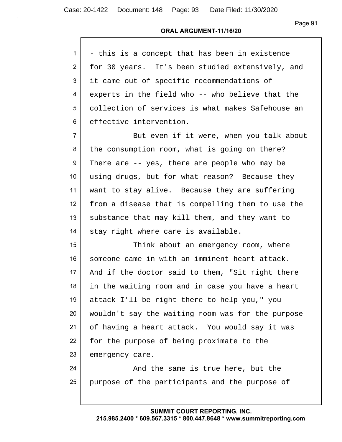#### **ORAL ARGUMENT-11/16/20**

| $1 \mid$ | - this is a concept that has been in existence    |
|----------|---------------------------------------------------|
| 2 I      | for 30 years. It's been studied extensively, and  |
|          | 3   it came out of specific recommendations of    |
| 4        | experts in the field who -- who believe that the  |
| 5        | collection of services is what makes Safehouse an |
| 6        | effective intervention.                           |

7 But even if it were, when you talk about 8 the consumption room, what is going on there? 9 There are -- yes, there are people who may be 10 using drugs, but for what reason? Because they 11 want to stay alive. Because they are suffering 12 from a disease that is compelling them to use the 13 | substance that may kill them, and they want to 14 stay right where care is available.

15 Think about an emergency room, where 16 someone came in with an imminent heart attack. 17 | And if the doctor said to them, "Sit right there 18 in the waiting room and in case you have a heart 19 attack I'll be right there to help you," you 20 wouldn't say the waiting room was for the purpose 21 of having a heart attack. You would say it was 22 for the purpose of being proximate to the 23 emergency care.

24 | The same is true here, but the 25 purpose of the participants and the purpose of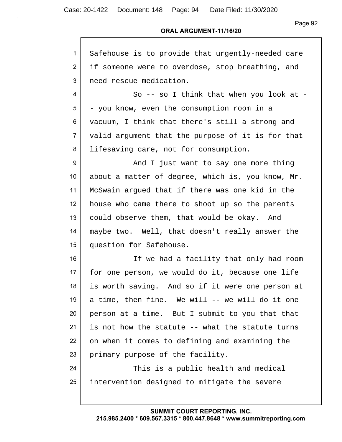Case: 20-1422 Document: 148 Page: 94 Date Filed: 11/30/2020

Page 92

| $\mathbf{1}$    | Safehouse is to provide that urgently-needed care |
|-----------------|---------------------------------------------------|
| 2               | if someone were to overdose, stop breathing, and  |
| 3               | need rescue medication.                           |
| 4               | So -- so I think that when you look at -          |
| 5               | - you know, even the consumption room in a        |
| 6               | vacuum, I think that there's still a strong and   |
| $\overline{7}$  | valid argument that the purpose of it is for that |
| 8               | lifesaving care, not for consumption.             |
| 9               | And I just want to say one more thing             |
| 10 <sup>1</sup> | about a matter of degree, which is, you know, Mr. |
| 11              | McSwain argued that if there was one kid in the   |
| 12              | house who came there to shoot up so the parents   |
| 13              | could observe them, that would be okay. And       |
| 14              | maybe two. Well, that doesn't really answer the   |
| 15              | question for Safehouse.                           |
| 16              | If we had a facility that only had room           |
| 17              | for one person, we would do it, because one life  |
| 18              | is worth saving. And so if it were one person at  |
| 19              | a time, then fine. We will -- we will do it one   |
| 20              | person at a time. But I submit to you that that   |
| 21              | is not how the statute -- what the statute turns  |
| 22              | on when it comes to defining and examining the    |
| 23              | primary purpose of the facility.                  |
| 24              | This is a public health and medical               |
| 25              | intervention designed to mitigate the severe      |
|                 |                                                   |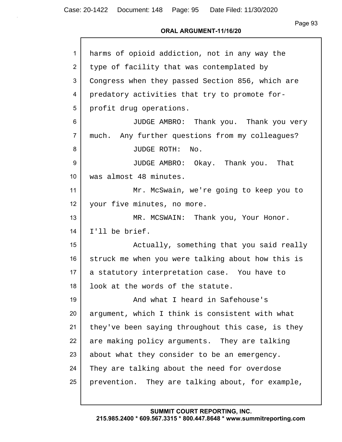Г

Page 93

#### **ORAL ARGUMENT-11/16/20**

| $\mathbf{1}$     | harms of opioid addiction, not in any way the     |
|------------------|---------------------------------------------------|
| $\overline{2}$   | type of facility that was contemplated by         |
| 3                | Congress when they passed Section 856, which are  |
| 4                | predatory activities that try to promote for-     |
| 5                | profit drug operations.                           |
| 6                | JUDGE AMBRO: Thank you. Thank you very            |
| $\overline{7}$   | much. Any further questions from my colleagues?   |
| 8                | JUDGE ROTH:<br>No.                                |
| 9                | JUDGE AMBRO: Okay. Thank you. That                |
| 10               | was almost 48 minutes.                            |
| 11               | Mr. McSwain, we're going to keep you to           |
| 12 <sup>2</sup>  | your five minutes, no more.                       |
| 13               | MR. MCSWAIN: Thank you, Your Honor.               |
| 14               | I'll be brief.                                    |
| 15 <sub>15</sub> | Actually, something that you said really          |
| 16               | struck me when you were talking about how this is |
| 17               | a statutory interpretation case. You have to      |
| 18               | look at the words of the statute.                 |
| 19               | And what I heard in Safehouse's                   |
| 20               | argument, which I think is consistent with what   |
| 21               | they've been saying throughout this case, is they |
| 22               | are making policy arguments. They are talking     |
| 23               | about what they consider to be an emergency.      |
| 24               | They are talking about the need for overdose      |
| 25               | prevention. They are talking about, for example,  |
|                  |                                                   |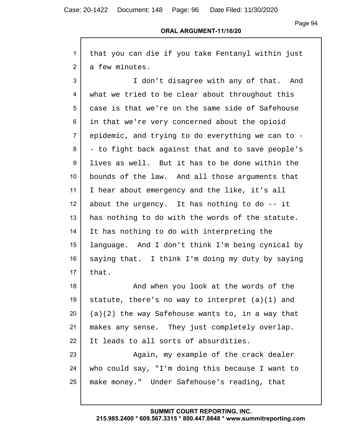Г

Case: 20-1422 Document: 148 Page: 96 Date Filed: 11/30/2020

Page 94

#### **ORAL ARGUMENT-11/16/20**

| 1               | that you can die if you take Fentanyl within just  |
|-----------------|----------------------------------------------------|
| $\overline{2}$  | a few minutes.                                     |
| 3               | I don't disagree with any of that. And             |
| 4               | what we tried to be clear about throughout this    |
| 5               | case is that we're on the same side of Safehouse   |
| 6               | in that we're very concerned about the opioid      |
| $\overline{7}$  | epidemic, and trying to do everything we can to -  |
| 8               | - to fight back against that and to save people's  |
| 9               | lives as well. But it has to be done within the    |
| 10 <sup>1</sup> | bounds of the law. And all those arguments that    |
| 11              | I hear about emergency and the like, it's all      |
| 12              | about the urgency. It has nothing to do -- it      |
| 13              | has nothing to do with the words of the statute.   |
| 14              | It has nothing to do with interpreting the         |
| 15              | language. And I don't think I'm being cynical by   |
| 16              | saying that. I think I'm doing my duty by saying   |
| 17              | that.                                              |
| 18              | And when you look at the words of the              |
| 19              | statute, there's no way to interpret $(a)(1)$ and  |
| 20              | $(a)(2)$ the way Safehouse wants to, in a way that |
| 21              | makes any sense. They just completely overlap.     |
| 22              | It leads to all sorts of absurdities.              |
| 23              | Again, my example of the crack dealer              |
| 24              | who could say, "I'm doing this because I want to   |
| 25              | make money." Under Safehouse's reading, that       |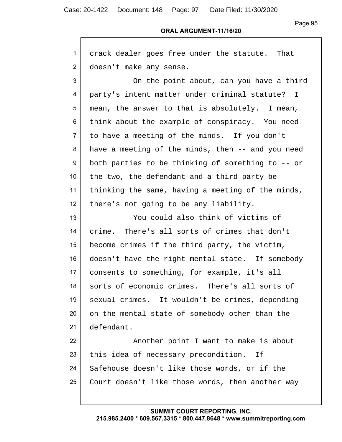Case: 20-1422 Document: 148 Page: 97 Date Filed: 11/30/2020

Г

Page 95

#### **ORAL ARGUMENT-11/16/20**

| 1              | crack dealer goes free under the statute. That    |
|----------------|---------------------------------------------------|
| $\overline{2}$ | doesn't make any sense.                           |
| 3              | On the point about, can you have a third          |
| 4              | party's intent matter under criminal statute? I   |
| 5              | mean, the answer to that is absolutely. I mean,   |
| 6              | think about the example of conspiracy. You need   |
| 7              | to have a meeting of the minds. If you don't      |
| 8              | have a meeting of the minds, then -- and you need |
| 9              | both parties to be thinking of something to -- or |
| 10             | the two, the defendant and a third party be       |
| 11             | thinking the same, having a meeting of the minds, |
| 12             | there's not going to be any liability.            |
| 13             | You could also think of victims of                |
| 14             | crime. There's all sorts of crimes that don't     |
| 15             | become crimes if the third party, the victim,     |
| 16             | doesn't have the right mental state. If somebody  |
| 17             | consents to something, for example, it's all      |
| 18             | sorts of economic crimes. There's all sorts of    |
| 19             | sexual crimes. It wouldn't be crimes, depending   |
| 20             | on the mental state of somebody other than the    |
| 21             | defendant.                                        |
| 22             | Another point I want to make is about             |
| 23             | this idea of necessary precondition. If           |
| 24             | Safehouse doesn't like those words, or if the     |
| 25             | Court doesn't like those words, then another way  |
|                |                                                   |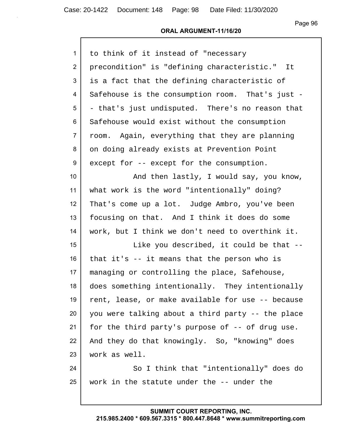#### **ORAL ARGUMENT-11/16/20**

| $\mathbf{1}$    | to think of it instead of "necessary              |
|-----------------|---------------------------------------------------|
| $\overline{2}$  | precondition" is "defining characteristic." It    |
| 3               | is a fact that the defining characteristic of     |
| 4               | Safehouse is the consumption room. That's just -  |
| 5               | - that's just undisputed. There's no reason that  |
| 6               | Safehouse would exist without the consumption     |
| $\overline{7}$  | room. Again, everything that they are planning    |
| 8               | on doing already exists at Prevention Point       |
| 9               | except for -- except for the consumption.         |
| 10 <sup>°</sup> | And then lastly, I would say, you know,           |
| 11              | what work is the word "intentionally" doing?      |
| 12              | That's come up a lot. Judge Ambro, you've been    |
| 13              | focusing on that. And I think it does do some     |
| 14              | work, but I think we don't need to overthink it.  |
| 15              | Like you described, it could be that --           |
| 16              | that it's -- it means that the person who is      |
| 17              | managing or controlling the place, Safehouse,     |
| 18              | does something intentionally. They intentionally  |
| 19              | rent, lease, or make available for use -- because |
| 20              | you were talking about a third party -- the place |
| 21              | for the third party's purpose of -- of drug use.  |
| 22              | And they do that knowingly. So, "knowing" does    |
| 23              | work as well.                                     |
| 24              | So I think that "intentionally" does do           |
| 25              | work in the statute under the -- under the        |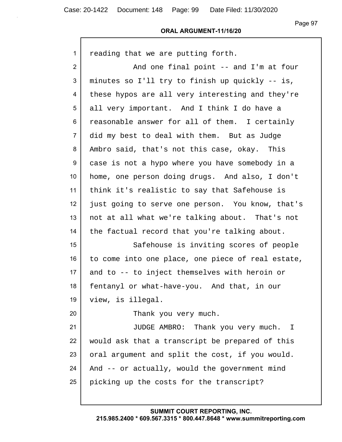Case: 20-1422 Document: 148 Page: 99 Date Filed: 11/30/2020

Page 97

#### **ORAL ARGUMENT-11/16/20**

| $\mathbf{1}$    | reading that we are putting forth.                |
|-----------------|---------------------------------------------------|
| $\overline{2}$  | And one final point -- and I'm at four            |
| 3               | minutes so I'll try to finish up quickly -- is,   |
| 4               | these hypos are all very interesting and they're  |
| 5               | all very important. And I think I do have a       |
| 6               | reasonable answer for all of them. I certainly    |
| $\overline{7}$  | did my best to deal with them. But as Judge       |
| 8               | Ambro said, that's not this case, okay. This      |
| 9               | case is not a hypo where you have somebody in a   |
| 10 <sup>1</sup> | home, one person doing drugs. And also, I don't   |
| 11              | think it's realistic to say that Safehouse is     |
| 12 <sup>°</sup> | just going to serve one person. You know, that's  |
| 13              | not at all what we're talking about. That's not   |
| 14              | the factual record that you're talking about.     |
| 15              | Safehouse is inviting scores of people            |
| 16              | to come into one place, one piece of real estate, |
| 17              | and to -- to inject themselves with heroin or     |
| 18              | fentanyl or what-have-you. And that, in our       |
| 19              | view, is illegal.                                 |
| 20              | Thank you very much.                              |
| 21              | JUDGE AMBRO: Thank you very much. I               |
| 22              | would ask that a transcript be prepared of this   |
| 23              | oral argument and split the cost, if you would.   |
| 24              | And -- or actually, would the government mind     |
| 25              | picking up the costs for the transcript?          |
|                 |                                                   |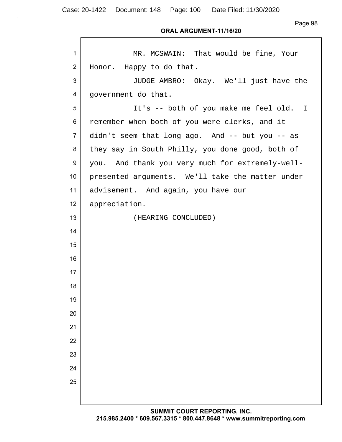Case: 20-1422 Document: 148 Page: 100 Date Filed: 11/30/2020

Page 98

| $\mathbf{1}$    | MR. MCSWAIN: That would be fine, Your            |
|-----------------|--------------------------------------------------|
| 2               | Honor. Happy to do that.                         |
| 3               | JUDGE AMBRO: Okay. We'll just have the           |
| 4               | government do that.                              |
| 5               | It's -- both of you make me feel old. I          |
| 6               | remember when both of you were clerks, and it    |
| $\overline{7}$  | didn't seem that long ago. And -- but you -- as  |
| 8               | they say in South Philly, you done good, both of |
| 9               | you. And thank you very much for extremely-well- |
| 10 <sup>1</sup> | presented arguments. We'll take the matter under |
| 11              | advisement. And again, you have our              |
| 12              | appreciation.                                    |
| 13              | (HEARING CONCLUDED)                              |
| 14              |                                                  |
| 15              |                                                  |
| 16              |                                                  |
| 17              |                                                  |
| 18              |                                                  |
| 19              |                                                  |
| 20              |                                                  |
| 21              |                                                  |
| 22              |                                                  |
| 23              |                                                  |
| 24              |                                                  |
| 25              |                                                  |
|                 |                                                  |
|                 |                                                  |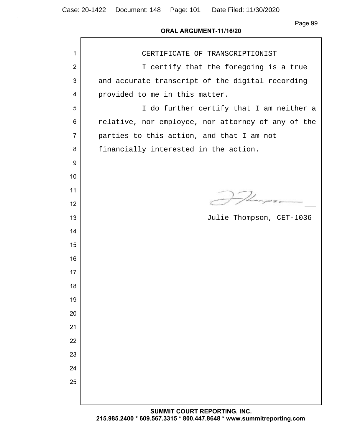| $\mathbf{1}$   | CERTIFICATE OF TRANSCRIPTIONIST                    |
|----------------|----------------------------------------------------|
| $\overline{2}$ | I certify that the foregoing is a true             |
| 3              | and accurate transcript of the digital recording   |
| 4              | provided to me in this matter.                     |
| 5              | I do further certify that I am neither a           |
| 6              | relative, nor employee, nor attorney of any of the |
| $\overline{7}$ | parties to this action, and that I am not          |
| 8              | financially interested in the action.              |
| 9              |                                                    |
| 10             |                                                    |
| 11             |                                                    |
| 12             |                                                    |
| 13             | Julie Thompson, CET-1036                           |
| 14             |                                                    |
| 15             |                                                    |
| 16             |                                                    |
| 17             |                                                    |
| 18             |                                                    |
| 19             |                                                    |
| 20             |                                                    |
| 21             |                                                    |
| 22             |                                                    |
| 23             |                                                    |
| 24             |                                                    |
| 25             |                                                    |
|                |                                                    |
|                | CUMMIT COURT BEBORTING INC                         |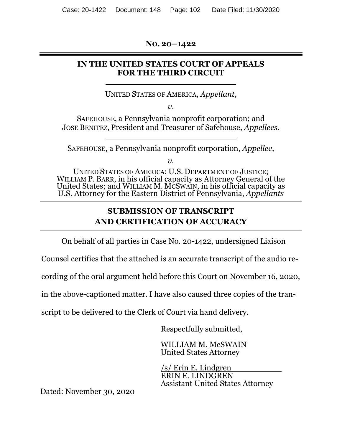**NO. 20–1422** 

## **IN THE UNITED STATES COURT OF APPEALS FOR THE THIRD CIRCUIT**

UNITED STATES OF AMERICA, *Appellant*,

*v.* 

SAFEHOUSE, a Pennsylvania nonprofit corporation; and JOSE BENITEZ, President and Treasurer of Safehouse, *Appellees.* 

SAFEHOUSE, a Pennsylvania nonprofit corporation, *Appellee*,

 $v<sub>r</sub>$ 

UNITED STATES OF AMERICA; U.S. DEPARTMENT OF JUSTICE; WILLIAM P. BARR, in his official capacity as Attorney General of the United States; and WILLIAM M. MCSWAIN, in his official capacity as U.S. Attorney for the Eastern District of Pennsylvania, *Appellants*

# **SUBMISSION OF TRANSCRIPT AND CERTIFICATION OF ACCURACY**

On behalf of all parties in Case No. 20-1422, undersigned Liaison

Counsel certifies that the attached is an accurate transcript of the audio re-

cording of the oral argument held before this Court on November 16, 2020,

in the above-captioned matter. I have also caused three copies of the tran-

script to be delivered to the Clerk of Court via hand delivery.

Respectfully submitted,

WILLIAM M. McSWAIN United States Attorney

/s/ Erin E. Lindgren ERIN E. LINDGREN Assistant United States Attorney

Dated: November 30, 2020